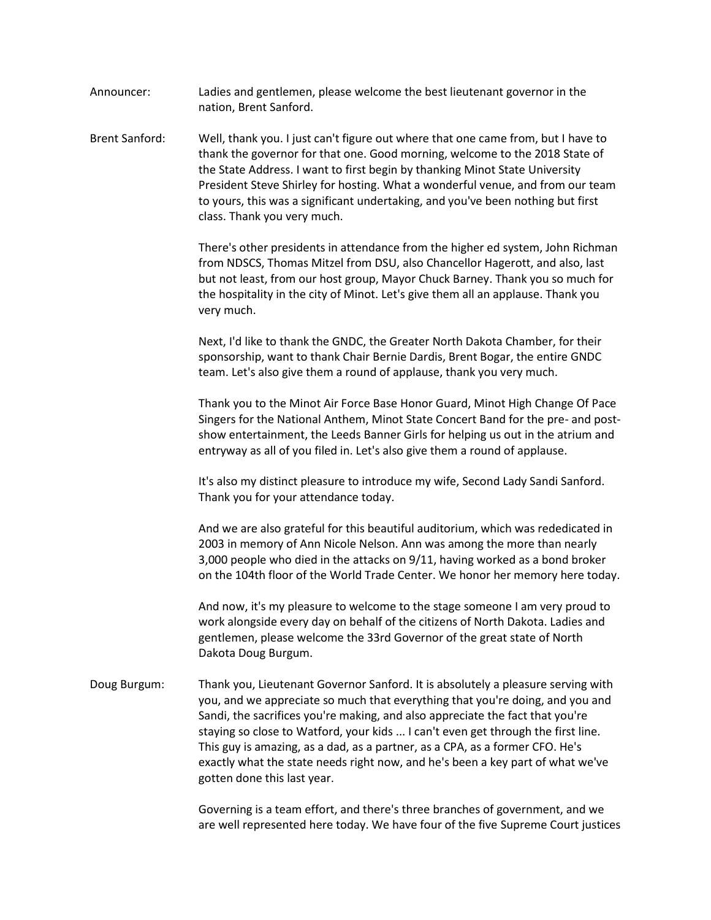| Announcer: | Ladies and gentlemen, please welcome the best lieutenant governor in the |
|------------|--------------------------------------------------------------------------|
|            | nation, Brent Sanford.                                                   |

Brent Sanford: Well, thank you. I just can't figure out where that one came from, but I have to thank the governor for that one. Good morning, welcome to the 2018 State of the State Address. I want to first begin by thanking Minot State University President Steve Shirley for hosting. What a wonderful venue, and from our team to yours, this was a significant undertaking, and you've been nothing but first class. Thank you very much.

> There's other presidents in attendance from the higher ed system, John Richman from NDSCS, Thomas Mitzel from DSU, also Chancellor Hagerott, and also, last but not least, from our host group, Mayor Chuck Barney. Thank you so much for the hospitality in the city of Minot. Let's give them all an applause. Thank you very much.

Next, I'd like to thank the GNDC, the Greater North Dakota Chamber, for their sponsorship, want to thank Chair Bernie Dardis, Brent Bogar, the entire GNDC team. Let's also give them a round of applause, thank you very much.

Thank you to the Minot Air Force Base Honor Guard, Minot High Change Of Pace Singers for the National Anthem, Minot State Concert Band for the pre- and postshow entertainment, the Leeds Banner Girls for helping us out in the atrium and entryway as all of you filed in. Let's also give them a round of applause.

It's also my distinct pleasure to introduce my wife, Second Lady Sandi Sanford. Thank you for your attendance today.

And we are also grateful for this beautiful auditorium, which was rededicated in 2003 in memory of Ann Nicole Nelson. Ann was among the more than nearly 3,000 people who died in the attacks on 9/11, having worked as a bond broker on the 104th floor of the World Trade Center. We honor her memory here today.

And now, it's my pleasure to welcome to the stage someone I am very proud to work alongside every day on behalf of the citizens of North Dakota. Ladies and gentlemen, please welcome the 33rd Governor of the great state of North Dakota Doug Burgum.

Doug Burgum: Thank you, Lieutenant Governor Sanford. It is absolutely a pleasure serving with you, and we appreciate so much that everything that you're doing, and you and Sandi, the sacrifices you're making, and also appreciate the fact that you're staying so close to Watford, your kids ... I can't even get through the first line. This guy is amazing, as a dad, as a partner, as a CPA, as a former CFO. He's exactly what the state needs right now, and he's been a key part of what we've gotten done this last year.

> Governing is a team effort, and there's three branches of government, and we are well represented here today. We have four of the five Supreme Court justices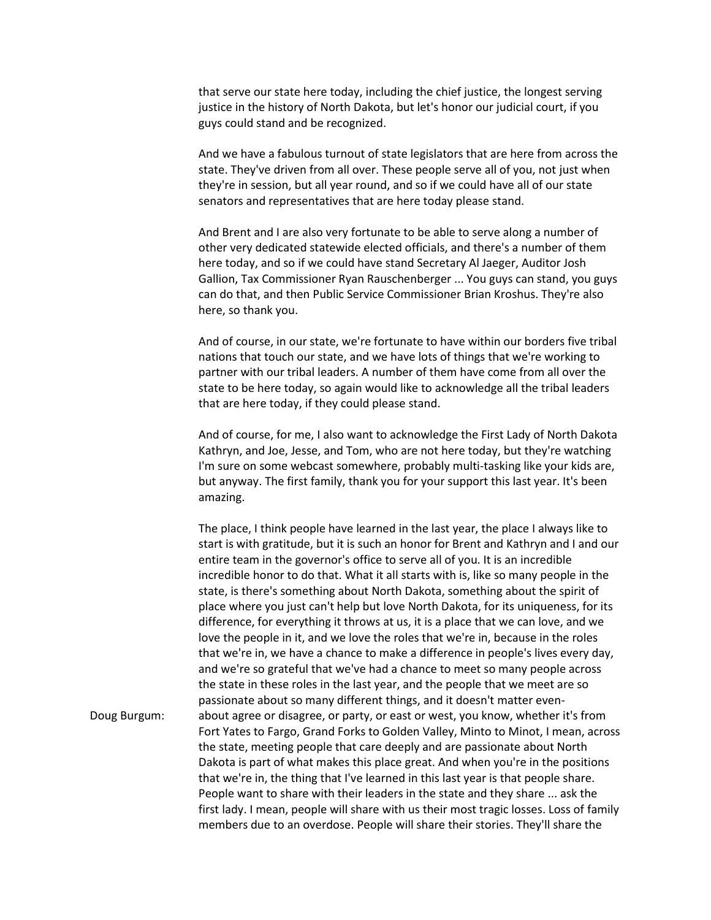that serve our state here today, including the chief justice, the longest serving justice in the history of North Dakota, but let's honor our judicial court, if you guys could stand and be recognized.

And we have a fabulous turnout of state legislators that are here from across the state. They've driven from all over. These people serve all of you, not just when they're in session, but all year round, and so if we could have all of our state senators and representatives that are here today please stand.

And Brent and I are also very fortunate to be able to serve along a number of other very dedicated statewide elected officials, and there's a number of them here today, and so if we could have stand Secretary Al Jaeger, Auditor Josh Gallion, Tax Commissioner Ryan Rauschenberger ... You guys can stand, you guys can do that, and then Public Service Commissioner Brian Kroshus. They're also here, so thank you.

And of course, in our state, we're fortunate to have within our borders five tribal nations that touch our state, and we have lots of things that we're working to partner with our tribal leaders. A number of them have come from all over the state to be here today, so again would like to acknowledge all the tribal leaders that are here today, if they could please stand.

And of course, for me, I also want to acknowledge the First Lady of North Dakota Kathryn, and Joe, Jesse, and Tom, who are not here today, but they're watching I'm sure on some webcast somewhere, probably multi-tasking like your kids are, but anyway. The first family, thank you for your support this last year. It's been amazing.

The place, I think people have learned in the last year, the place I always like to start is with gratitude, but it is such an honor for Brent and Kathryn and I and our entire team in the governor's office to serve all of you. It is an incredible incredible honor to do that. What it all starts with is, like so many people in the state, is there's something about North Dakota, something about the spirit of place where you just can't help but love North Dakota, for its uniqueness, for its difference, for everything it throws at us, it is a place that we can love, and we love the people in it, and we love the roles that we're in, because in the roles that we're in, we have a chance to make a difference in people's lives every day, and we're so grateful that we've had a chance to meet so many people across the state in these roles in the last year, and the people that we meet are so passionate about so many different things, and it doesn't matter even-Doug Burgum: about agree or disagree, or party, or east or west, you know, whether it's from Fort Yates to Fargo, Grand Forks to Golden Valley, Minto to Minot, I mean, across the state, meeting people that care deeply and are passionate about North Dakota is part of what makes this place great. And when you're in the positions that we're in, the thing that I've learned in this last year is that people share. People want to share with their leaders in the state and they share ... ask the first lady. I mean, people will share with us their most tragic losses. Loss of family members due to an overdose. People will share their stories. They'll share the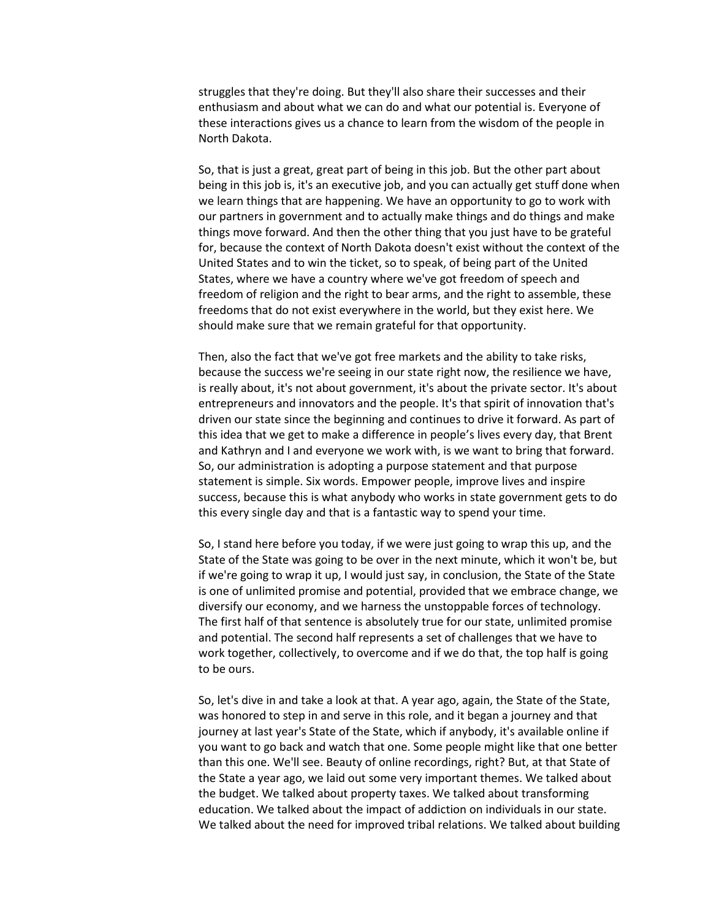struggles that they're doing. But they'll also share their successes and their enthusiasm and about what we can do and what our potential is. Everyone of these interactions gives us a chance to learn from the wisdom of the people in North Dakota.

So, that is just a great, great part of being in this job. But the other part about being in this job is, it's an executive job, and you can actually get stuff done when we learn things that are happening. We have an opportunity to go to work with our partners in government and to actually make things and do things and make things move forward. And then the other thing that you just have to be grateful for, because the context of North Dakota doesn't exist without the context of the United States and to win the ticket, so to speak, of being part of the United States, where we have a country where we've got freedom of speech and freedom of religion and the right to bear arms, and the right to assemble, these freedoms that do not exist everywhere in the world, but they exist here. We should make sure that we remain grateful for that opportunity.

Then, also the fact that we've got free markets and the ability to take risks, because the success we're seeing in our state right now, the resilience we have, is really about, it's not about government, it's about the private sector. It's about entrepreneurs and innovators and the people. It's that spirit of innovation that's driven our state since the beginning and continues to drive it forward. As part of this idea that we get to make a difference in people's lives every day, that Brent and Kathryn and I and everyone we work with, is we want to bring that forward. So, our administration is adopting a purpose statement and that purpose statement is simple. Six words. Empower people, improve lives and inspire success, because this is what anybody who works in state government gets to do this every single day and that is a fantastic way to spend your time.

So, I stand here before you today, if we were just going to wrap this up, and the State of the State was going to be over in the next minute, which it won't be, but if we're going to wrap it up, I would just say, in conclusion, the State of the State is one of unlimited promise and potential, provided that we embrace change, we diversify our economy, and we harness the unstoppable forces of technology. The first half of that sentence is absolutely true for our state, unlimited promise and potential. The second half represents a set of challenges that we have to work together, collectively, to overcome and if we do that, the top half is going to be ours.

So, let's dive in and take a look at that. A year ago, again, the State of the State, was honored to step in and serve in this role, and it began a journey and that journey at last year's State of the State, which if anybody, it's available online if you want to go back and watch that one. Some people might like that one better than this one. We'll see. Beauty of online recordings, right? But, at that State of the State a year ago, we laid out some very important themes. We talked about the budget. We talked about property taxes. We talked about transforming education. We talked about the impact of addiction on individuals in our state. We talked about the need for improved tribal relations. We talked about building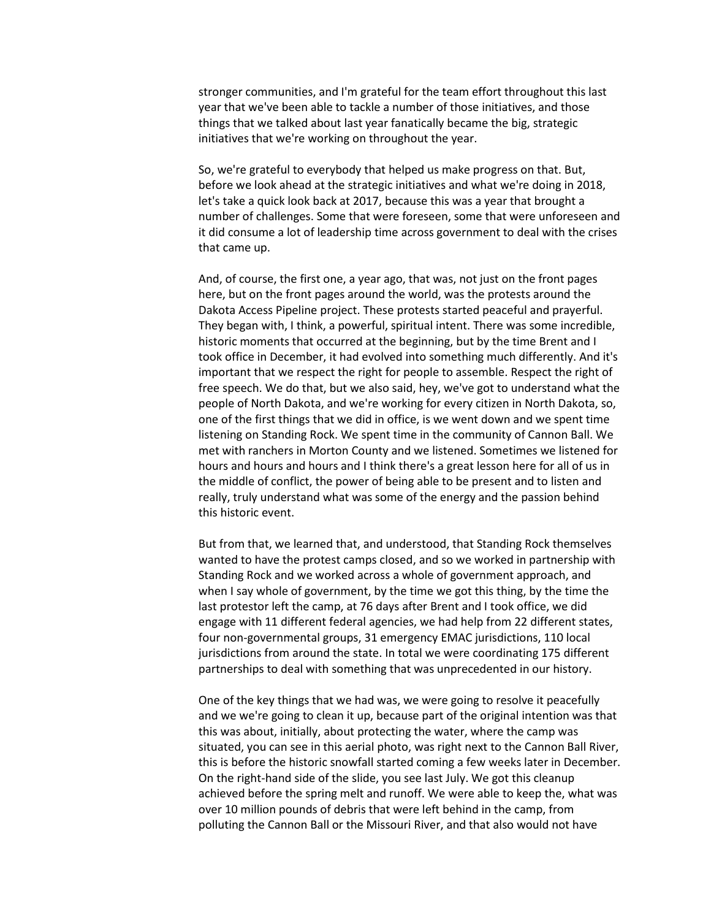stronger communities, and I'm grateful for the team effort throughout this last year that we've been able to tackle a number of those initiatives, and those things that we talked about last year fanatically became the big, strategic initiatives that we're working on throughout the year.

So, we're grateful to everybody that helped us make progress on that. But, before we look ahead at the strategic initiatives and what we're doing in 2018, let's take a quick look back at 2017, because this was a year that brought a number of challenges. Some that were foreseen, some that were unforeseen and it did consume a lot of leadership time across government to deal with the crises that came up.

And, of course, the first one, a year ago, that was, not just on the front pages here, but on the front pages around the world, was the protests around the Dakota Access Pipeline project. These protests started peaceful and prayerful. They began with, I think, a powerful, spiritual intent. There was some incredible, historic moments that occurred at the beginning, but by the time Brent and I took office in December, it had evolved into something much differently. And it's important that we respect the right for people to assemble. Respect the right of free speech. We do that, but we also said, hey, we've got to understand what the people of North Dakota, and we're working for every citizen in North Dakota, so, one of the first things that we did in office, is we went down and we spent time listening on Standing Rock. We spent time in the community of Cannon Ball. We met with ranchers in Morton County and we listened. Sometimes we listened for hours and hours and hours and I think there's a great lesson here for all of us in the middle of conflict, the power of being able to be present and to listen and really, truly understand what was some of the energy and the passion behind this historic event.

But from that, we learned that, and understood, that Standing Rock themselves wanted to have the protest camps closed, and so we worked in partnership with Standing Rock and we worked across a whole of government approach, and when I say whole of government, by the time we got this thing, by the time the last protestor left the camp, at 76 days after Brent and I took office, we did engage with 11 different federal agencies, we had help from 22 different states, four non-governmental groups, 31 emergency EMAC jurisdictions, 110 local jurisdictions from around the state. In total we were coordinating 175 different partnerships to deal with something that was unprecedented in our history.

One of the key things that we had was, we were going to resolve it peacefully and we we're going to clean it up, because part of the original intention was that this was about, initially, about protecting the water, where the camp was situated, you can see in this aerial photo, was right next to the Cannon Ball River, this is before the historic snowfall started coming a few weeks later in December. On the right-hand side of the slide, you see last July. We got this cleanup achieved before the spring melt and runoff. We were able to keep the, what was over 10 million pounds of debris that were left behind in the camp, from polluting the Cannon Ball or the Missouri River, and that also would not have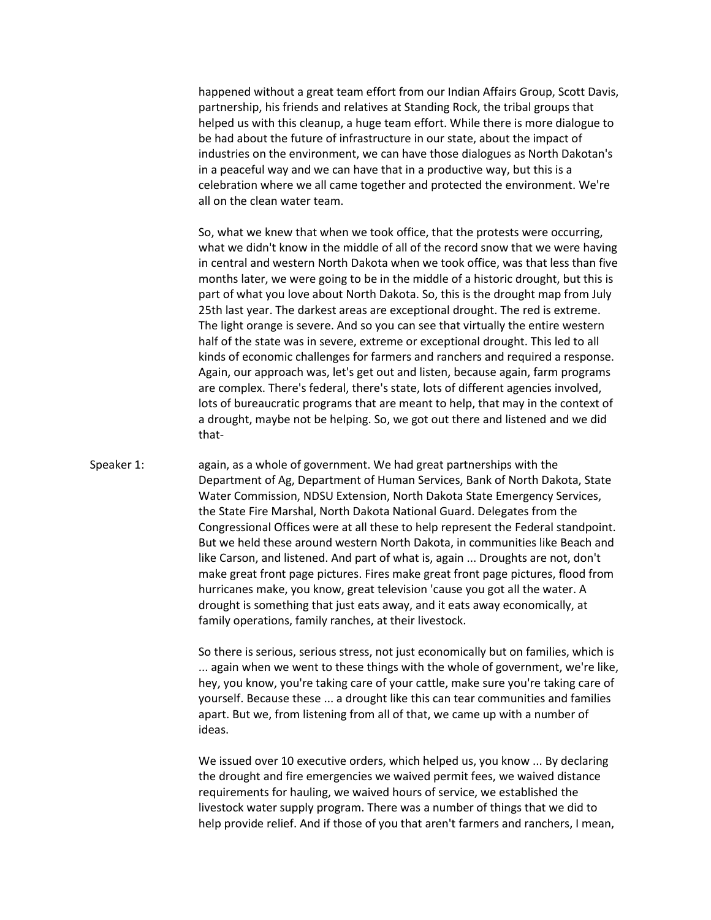happened without a great team effort from our Indian Affairs Group, Scott Davis, partnership, his friends and relatives at Standing Rock, the tribal groups that helped us with this cleanup, a huge team effort. While there is more dialogue to be had about the future of infrastructure in our state, about the impact of industries on the environment, we can have those dialogues as North Dakotan's in a peaceful way and we can have that in a productive way, but this is a celebration where we all came together and protected the environment. We're all on the clean water team.

So, what we knew that when we took office, that the protests were occurring, what we didn't know in the middle of all of the record snow that we were having in central and western North Dakota when we took office, was that less than five months later, we were going to be in the middle of a historic drought, but this is part of what you love about North Dakota. So, this is the drought map from July 25th last year. The darkest areas are exceptional drought. The red is extreme. The light orange is severe. And so you can see that virtually the entire western half of the state was in severe, extreme or exceptional drought. This led to all kinds of economic challenges for farmers and ranchers and required a response. Again, our approach was, let's get out and listen, because again, farm programs are complex. There's federal, there's state, lots of different agencies involved, lots of bureaucratic programs that are meant to help, that may in the context of a drought, maybe not be helping. So, we got out there and listened and we did that-

## Speaker 1: again, as a whole of government. We had great partnerships with the Department of Ag, Department of Human Services, Bank of North Dakota, State Water Commission, NDSU Extension, North Dakota State Emergency Services, the State Fire Marshal, North Dakota National Guard. Delegates from the Congressional Offices were at all these to help represent the Federal standpoint. But we held these around western North Dakota, in communities like Beach and like Carson, and listened. And part of what is, again ... Droughts are not, don't make great front page pictures. Fires make great front page pictures, flood from hurricanes make, you know, great television 'cause you got all the water. A drought is something that just eats away, and it eats away economically, at family operations, family ranches, at their livestock.

So there is serious, serious stress, not just economically but on families, which is ... again when we went to these things with the whole of government, we're like, hey, you know, you're taking care of your cattle, make sure you're taking care of yourself. Because these ... a drought like this can tear communities and families apart. But we, from listening from all of that, we came up with a number of ideas.

We issued over 10 executive orders, which helped us, you know ... By declaring the drought and fire emergencies we waived permit fees, we waived distance requirements for hauling, we waived hours of service, we established the livestock water supply program. There was a number of things that we did to help provide relief. And if those of you that aren't farmers and ranchers, I mean,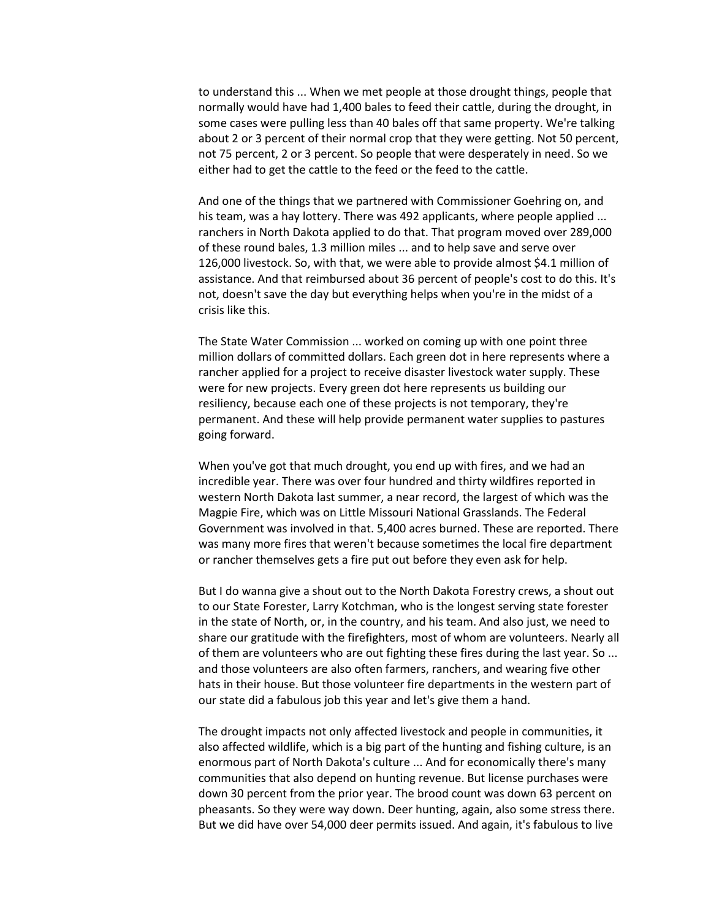to understand this ... When we met people at those drought things, people that normally would have had 1,400 bales to feed their cattle, during the drought, in some cases were pulling less than 40 bales off that same property. We're talking about 2 or 3 percent of their normal crop that they were getting. Not 50 percent, not 75 percent, 2 or 3 percent. So people that were desperately in need. So we either had to get the cattle to the feed or the feed to the cattle.

And one of the things that we partnered with Commissioner Goehring on, and his team, was a hay lottery. There was 492 applicants, where people applied ... ranchers in North Dakota applied to do that. That program moved over 289,000 of these round bales, 1.3 million miles ... and to help save and serve over 126,000 livestock. So, with that, we were able to provide almost \$4.1 million of assistance. And that reimbursed about 36 percent of people's cost to do this. It's not, doesn't save the day but everything helps when you're in the midst of a crisis like this.

The State Water Commission ... worked on coming up with one point three million dollars of committed dollars. Each green dot in here represents where a rancher applied for a project to receive disaster livestock water supply. These were for new projects. Every green dot here represents us building our resiliency, because each one of these projects is not temporary, they're permanent. And these will help provide permanent water supplies to pastures going forward.

When you've got that much drought, you end up with fires, and we had an incredible year. There was over four hundred and thirty wildfires reported in western North Dakota last summer, a near record, the largest of which was the Magpie Fire, which was on Little Missouri National Grasslands. The Federal Government was involved in that. 5,400 acres burned. These are reported. There was many more fires that weren't because sometimes the local fire department or rancher themselves gets a fire put out before they even ask for help.

But I do wanna give a shout out to the North Dakota Forestry crews, a shout out to our State Forester, Larry Kotchman, who is the longest serving state forester in the state of North, or, in the country, and his team. And also just, we need to share our gratitude with the firefighters, most of whom are volunteers. Nearly all of them are volunteers who are out fighting these fires during the last year. So ... and those volunteers are also often farmers, ranchers, and wearing five other hats in their house. But those volunteer fire departments in the western part of our state did a fabulous job this year and let's give them a hand.

The drought impacts not only affected livestock and people in communities, it also affected wildlife, which is a big part of the hunting and fishing culture, is an enormous part of North Dakota's culture ... And for economically there's many communities that also depend on hunting revenue. But license purchases were down 30 percent from the prior year. The brood count was down 63 percent on pheasants. So they were way down. Deer hunting, again, also some stress there. But we did have over 54,000 deer permits issued. And again, it's fabulous to live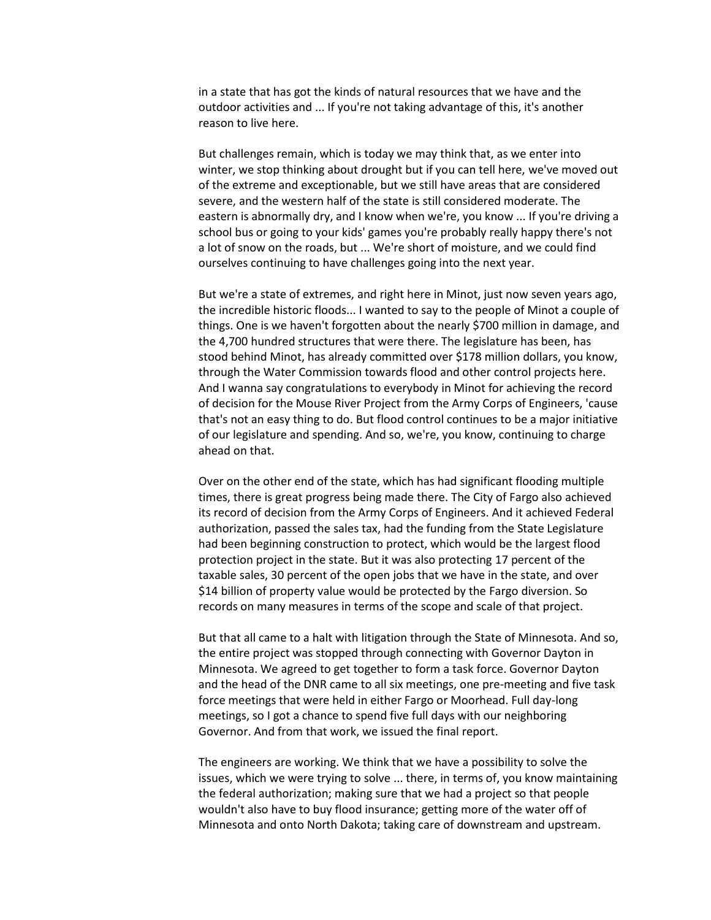in a state that has got the kinds of natural resources that we have and the outdoor activities and ... If you're not taking advantage of this, it's another reason to live here.

But challenges remain, which is today we may think that, as we enter into winter, we stop thinking about drought but if you can tell here, we've moved out of the extreme and exceptionable, but we still have areas that are considered severe, and the western half of the state is still considered moderate. The eastern is abnormally dry, and I know when we're, you know ... If you're driving a school bus or going to your kids' games you're probably really happy there's not a lot of snow on the roads, but ... We're short of moisture, and we could find ourselves continuing to have challenges going into the next year.

But we're a state of extremes, and right here in Minot, just now seven years ago, the incredible historic floods... I wanted to say to the people of Minot a couple of things. One is we haven't forgotten about the nearly \$700 million in damage, and the 4,700 hundred structures that were there. The legislature has been, has stood behind Minot, has already committed over \$178 million dollars, you know, through the Water Commission towards flood and other control projects here. And I wanna say congratulations to everybody in Minot for achieving the record of decision for the Mouse River Project from the Army Corps of Engineers, 'cause that's not an easy thing to do. But flood control continues to be a major initiative of our legislature and spending. And so, we're, you know, continuing to charge ahead on that.

Over on the other end of the state, which has had significant flooding multiple times, there is great progress being made there. The City of Fargo also achieved its record of decision from the Army Corps of Engineers. And it achieved Federal authorization, passed the sales tax, had the funding from the State Legislature had been beginning construction to protect, which would be the largest flood protection project in the state. But it was also protecting 17 percent of the taxable sales, 30 percent of the open jobs that we have in the state, and over \$14 billion of property value would be protected by the Fargo diversion. So records on many measures in terms of the scope and scale of that project.

But that all came to a halt with litigation through the State of Minnesota. And so, the entire project was stopped through connecting with Governor Dayton in Minnesota. We agreed to get together to form a task force. Governor Dayton and the head of the DNR came to all six meetings, one pre-meeting and five task force meetings that were held in either Fargo or Moorhead. Full day-long meetings, so I got a chance to spend five full days with our neighboring Governor. And from that work, we issued the final report.

The engineers are working. We think that we have a possibility to solve the issues, which we were trying to solve ... there, in terms of, you know maintaining the federal authorization; making sure that we had a project so that people wouldn't also have to buy flood insurance; getting more of the water off of Minnesota and onto North Dakota; taking care of downstream and upstream.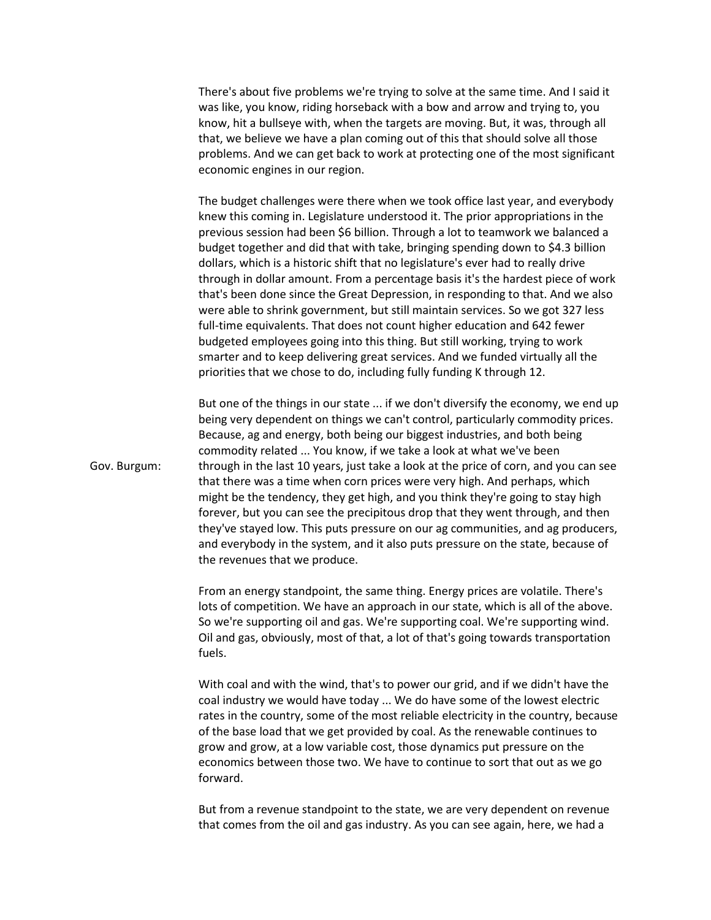There's about five problems we're trying to solve at the same time. And I said it was like, you know, riding horseback with a bow and arrow and trying to, you know, hit a bullseye with, when the targets are moving. But, it was, through all that, we believe we have a plan coming out of this that should solve all those problems. And we can get back to work at protecting one of the most significant economic engines in our region.

The budget challenges were there when we took office last year, and everybody knew this coming in. Legislature understood it. The prior appropriations in the previous session had been \$6 billion. Through a lot to teamwork we balanced a budget together and did that with take, bringing spending down to \$4.3 billion dollars, which is a historic shift that no legislature's ever had to really drive through in dollar amount. From a percentage basis it's the hardest piece of work that's been done since the Great Depression, in responding to that. And we also were able to shrink government, but still maintain services. So we got 327 less full-time equivalents. That does not count higher education and 642 fewer budgeted employees going into this thing. But still working, trying to work smarter and to keep delivering great services. And we funded virtually all the priorities that we chose to do, including fully funding K through 12.

But one of the things in our state ... if we don't diversify the economy, we end up being very dependent on things we can't control, particularly commodity prices. Because, ag and energy, both being our biggest industries, and both being commodity related ... You know, if we take a look at what we've been Gov. Burgum: through in the last 10 years, just take a look at the price of corn, and you can see that there was a time when corn prices were very high. And perhaps, which might be the tendency, they get high, and you think they're going to stay high forever, but you can see the precipitous drop that they went through, and then they've stayed low. This puts pressure on our ag communities, and ag producers, and everybody in the system, and it also puts pressure on the state, because of the revenues that we produce.

> From an energy standpoint, the same thing. Energy prices are volatile. There's lots of competition. We have an approach in our state, which is all of the above. So we're supporting oil and gas. We're supporting coal. We're supporting wind. Oil and gas, obviously, most of that, a lot of that's going towards transportation fuels.

With coal and with the wind, that's to power our grid, and if we didn't have the coal industry we would have today ... We do have some of the lowest electric rates in the country, some of the most reliable electricity in the country, because of the base load that we get provided by coal. As the renewable continues to grow and grow, at a low variable cost, those dynamics put pressure on the economics between those two. We have to continue to sort that out as we go forward.

But from a revenue standpoint to the state, we are very dependent on revenue that comes from the oil and gas industry. As you can see again, here, we had a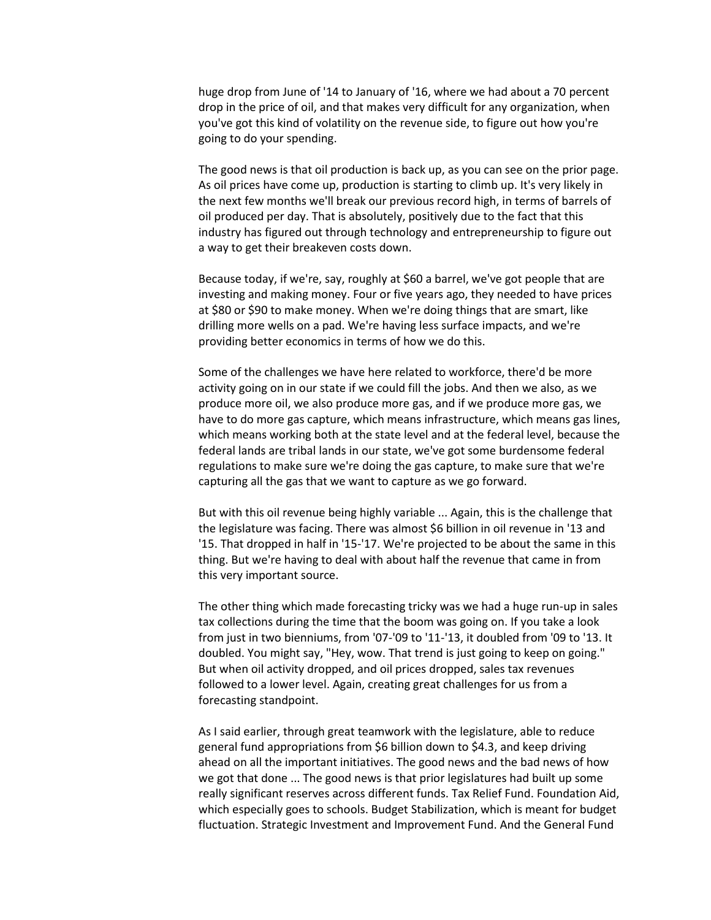huge drop from June of '14 to January of '16, where we had about a 70 percent drop in the price of oil, and that makes very difficult for any organization, when you've got this kind of volatility on the revenue side, to figure out how you're going to do your spending.

The good news is that oil production is back up, as you can see on the prior page. As oil prices have come up, production is starting to climb up. It's very likely in the next few months we'll break our previous record high, in terms of barrels of oil produced per day. That is absolutely, positively due to the fact that this industry has figured out through technology and entrepreneurship to figure out a way to get their breakeven costs down.

Because today, if we're, say, roughly at \$60 a barrel, we've got people that are investing and making money. Four or five years ago, they needed to have prices at \$80 or \$90 to make money. When we're doing things that are smart, like drilling more wells on a pad. We're having less surface impacts, and we're providing better economics in terms of how we do this.

Some of the challenges we have here related to workforce, there'd be more activity going on in our state if we could fill the jobs. And then we also, as we produce more oil, we also produce more gas, and if we produce more gas, we have to do more gas capture, which means infrastructure, which means gas lines, which means working both at the state level and at the federal level, because the federal lands are tribal lands in our state, we've got some burdensome federal regulations to make sure we're doing the gas capture, to make sure that we're capturing all the gas that we want to capture as we go forward.

But with this oil revenue being highly variable ... Again, this is the challenge that the legislature was facing. There was almost \$6 billion in oil revenue in '13 and '15. That dropped in half in '15-'17. We're projected to be about the same in this thing. But we're having to deal with about half the revenue that came in from this very important source.

The other thing which made forecasting tricky was we had a huge run-up in sales tax collections during the time that the boom was going on. If you take a look from just in two bienniums, from '07-'09 to '11-'13, it doubled from '09 to '13. It doubled. You might say, "Hey, wow. That trend is just going to keep on going." But when oil activity dropped, and oil prices dropped, sales tax revenues followed to a lower level. Again, creating great challenges for us from a forecasting standpoint.

As I said earlier, through great teamwork with the legislature, able to reduce general fund appropriations from \$6 billion down to \$4.3, and keep driving ahead on all the important initiatives. The good news and the bad news of how we got that done ... The good news is that prior legislatures had built up some really significant reserves across different funds. Tax Relief Fund. Foundation Aid, which especially goes to schools. Budget Stabilization, which is meant for budget fluctuation. Strategic Investment and Improvement Fund. And the General Fund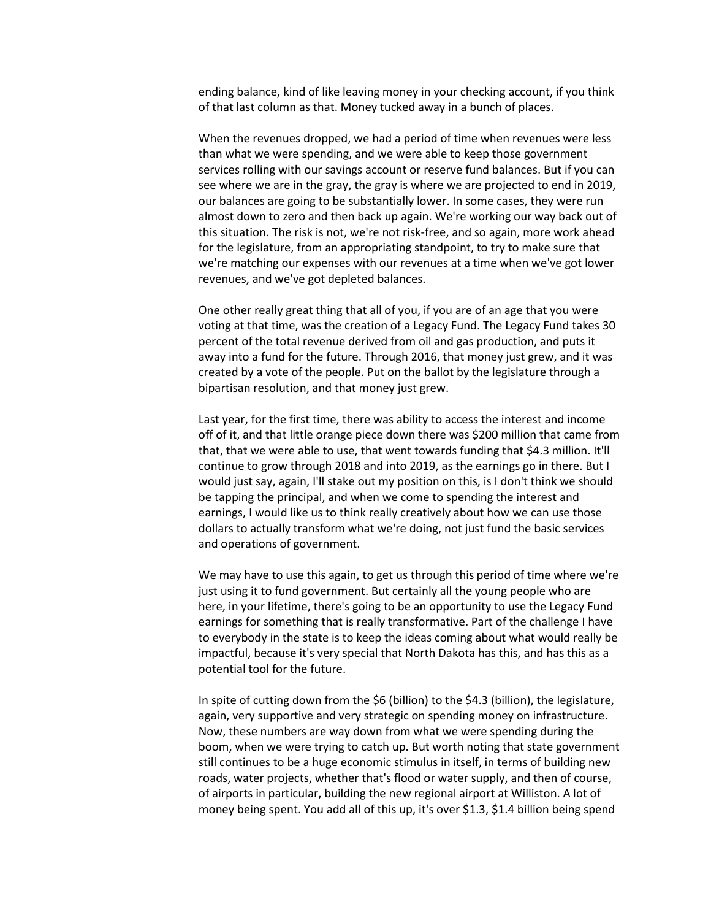ending balance, kind of like leaving money in your checking account, if you think of that last column as that. Money tucked away in a bunch of places.

When the revenues dropped, we had a period of time when revenues were less than what we were spending, and we were able to keep those government services rolling with our savings account or reserve fund balances. But if you can see where we are in the gray, the gray is where we are projected to end in 2019, our balances are going to be substantially lower. In some cases, they were run almost down to zero and then back up again. We're working our way back out of this situation. The risk is not, we're not risk-free, and so again, more work ahead for the legislature, from an appropriating standpoint, to try to make sure that we're matching our expenses with our revenues at a time when we've got lower revenues, and we've got depleted balances.

One other really great thing that all of you, if you are of an age that you were voting at that time, was the creation of a Legacy Fund. The Legacy Fund takes 30 percent of the total revenue derived from oil and gas production, and puts it away into a fund for the future. Through 2016, that money just grew, and it was created by a vote of the people. Put on the ballot by the legislature through a bipartisan resolution, and that money just grew.

Last year, for the first time, there was ability to access the interest and income off of it, and that little orange piece down there was \$200 million that came from that, that we were able to use, that went towards funding that \$4.3 million. It'll continue to grow through 2018 and into 2019, as the earnings go in there. But I would just say, again, I'll stake out my position on this, is I don't think we should be tapping the principal, and when we come to spending the interest and earnings, I would like us to think really creatively about how we can use those dollars to actually transform what we're doing, not just fund the basic services and operations of government.

We may have to use this again, to get us through this period of time where we're just using it to fund government. But certainly all the young people who are here, in your lifetime, there's going to be an opportunity to use the Legacy Fund earnings for something that is really transformative. Part of the challenge I have to everybody in the state is to keep the ideas coming about what would really be impactful, because it's very special that North Dakota has this, and has this as a potential tool for the future.

In spite of cutting down from the \$6 (billion) to the \$4.3 (billion), the legislature, again, very supportive and very strategic on spending money on infrastructure. Now, these numbers are way down from what we were spending during the boom, when we were trying to catch up. But worth noting that state government still continues to be a huge economic stimulus in itself, in terms of building new roads, water projects, whether that's flood or water supply, and then of course, of airports in particular, building the new regional airport at Williston. A lot of money being spent. You add all of this up, it's over \$1.3, \$1.4 billion being spend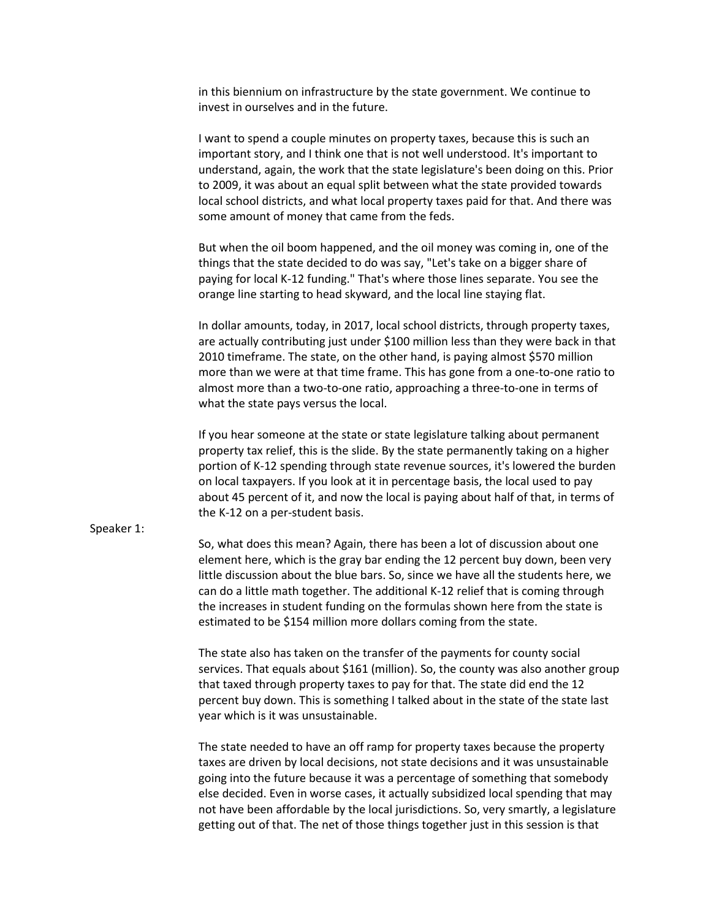in this biennium on infrastructure by the state government. We continue to invest in ourselves and in the future.

I want to spend a couple minutes on property taxes, because this is such an important story, and I think one that is not well understood. It's important to understand, again, the work that the state legislature's been doing on this. Prior to 2009, it was about an equal split between what the state provided towards local school districts, and what local property taxes paid for that. And there was some amount of money that came from the feds.

But when the oil boom happened, and the oil money was coming in, one of the things that the state decided to do was say, "Let's take on a bigger share of paying for local K-12 funding." That's where those lines separate. You see the orange line starting to head skyward, and the local line staying flat.

In dollar amounts, today, in 2017, local school districts, through property taxes, are actually contributing just under \$100 million less than they were back in that 2010 timeframe. The state, on the other hand, is paying almost \$570 million more than we were at that time frame. This has gone from a one-to-one ratio to almost more than a two-to-one ratio, approaching a three-to-one in terms of what the state pays versus the local.

If you hear someone at the state or state legislature talking about permanent property tax relief, this is the slide. By the state permanently taking on a higher portion of K-12 spending through state revenue sources, it's lowered the burden on local taxpayers. If you look at it in percentage basis, the local used to pay about 45 percent of it, and now the local is paying about half of that, in terms of the K-12 on a per-student basis.

## Speaker 1:

So, what does this mean? Again, there has been a lot of discussion about one element here, which is the gray bar ending the 12 percent buy down, been very little discussion about the blue bars. So, since we have all the students here, we can do a little math together. The additional K-12 relief that is coming through the increases in student funding on the formulas shown here from the state is estimated to be \$154 million more dollars coming from the state.

The state also has taken on the transfer of the payments for county social services. That equals about \$161 (million). So, the county was also another group that taxed through property taxes to pay for that. The state did end the 12 percent buy down. This is something I talked about in the state of the state last year which is it was unsustainable.

The state needed to have an off ramp for property taxes because the property taxes are driven by local decisions, not state decisions and it was unsustainable going into the future because it was a percentage of something that somebody else decided. Even in worse cases, it actually subsidized local spending that may not have been affordable by the local jurisdictions. So, very smartly, a legislature getting out of that. The net of those things together just in this session is that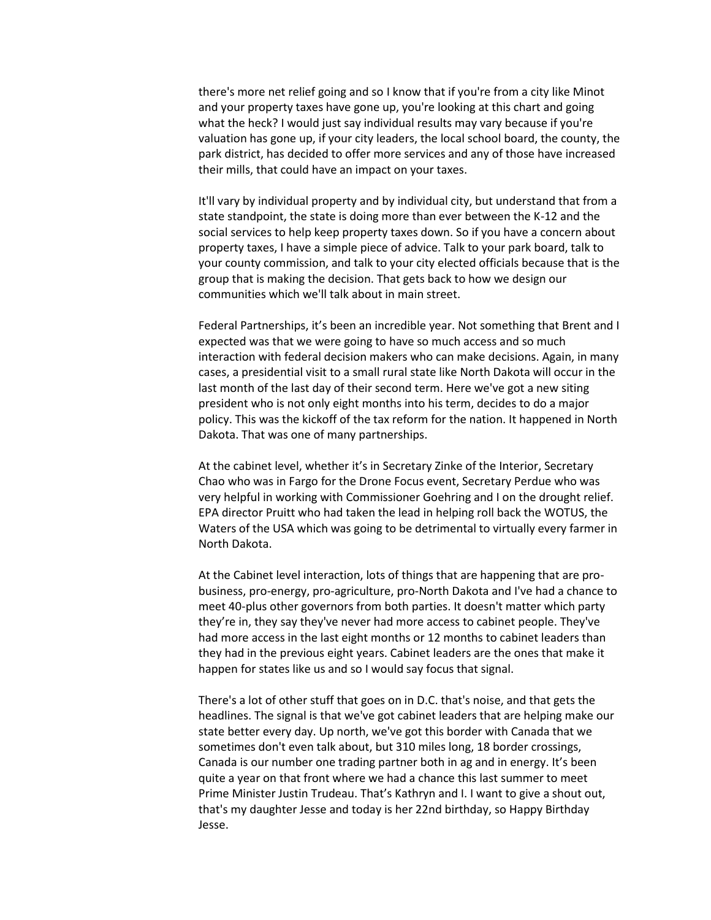there's more net relief going and so I know that if you're from a city like Minot and your property taxes have gone up, you're looking at this chart and going what the heck? I would just say individual results may vary because if you're valuation has gone up, if your city leaders, the local school board, the county, the park district, has decided to offer more services and any of those have increased their mills, that could have an impact on your taxes.

It'll vary by individual property and by individual city, but understand that from a state standpoint, the state is doing more than ever between the K-12 and the social services to help keep property taxes down. So if you have a concern about property taxes, I have a simple piece of advice. Talk to your park board, talk to your county commission, and talk to your city elected officials because that is the group that is making the decision. That gets back to how we design our communities which we'll talk about in main street.

Federal Partnerships, it's been an incredible year. Not something that Brent and I expected was that we were going to have so much access and so much interaction with federal decision makers who can make decisions. Again, in many cases, a presidential visit to a small rural state like North Dakota will occur in the last month of the last day of their second term. Here we've got a new siting president who is not only eight months into his term, decides to do a major policy. This was the kickoff of the tax reform for the nation. It happened in North Dakota. That was one of many partnerships.

At the cabinet level, whether it's in Secretary Zinke of the Interior, Secretary Chao who was in Fargo for the Drone Focus event, Secretary Perdue who was very helpful in working with Commissioner Goehring and I on the drought relief. EPA director Pruitt who had taken the lead in helping roll back the WOTUS, the Waters of the USA which was going to be detrimental to virtually every farmer in North Dakota.

At the Cabinet level interaction, lots of things that are happening that are probusiness, pro-energy, pro-agriculture, pro-North Dakota and I've had a chance to meet 40-plus other governors from both parties. It doesn't matter which party they're in, they say they've never had more access to cabinet people. They've had more access in the last eight months or 12 months to cabinet leaders than they had in the previous eight years. Cabinet leaders are the ones that make it happen for states like us and so I would say focus that signal.

There's a lot of other stuff that goes on in D.C. that's noise, and that gets the headlines. The signal is that we've got cabinet leaders that are helping make our state better every day. Up north, we've got this border with Canada that we sometimes don't even talk about, but 310 miles long, 18 border crossings, Canada is our number one trading partner both in ag and in energy. It's been quite a year on that front where we had a chance this last summer to meet Prime Minister Justin Trudeau. That's Kathryn and I. I want to give a shout out, that's my daughter Jesse and today is her 22nd birthday, so Happy Birthday Jesse.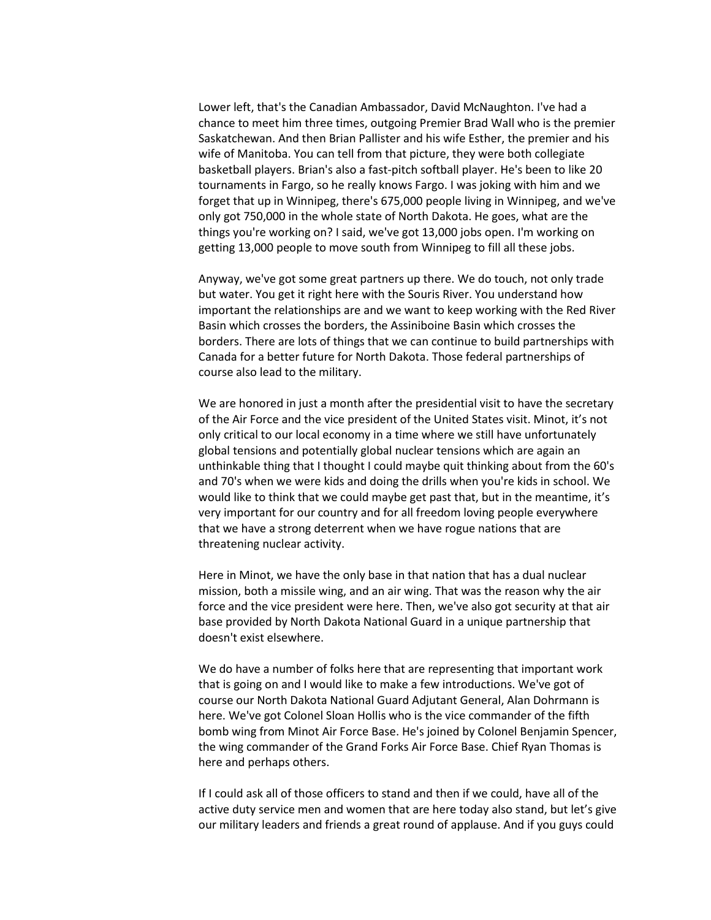Lower left, that's the Canadian Ambassador, David McNaughton. I've had a chance to meet him three times, outgoing Premier Brad Wall who is the premier Saskatchewan. And then Brian Pallister and his wife Esther, the premier and his wife of Manitoba. You can tell from that picture, they were both collegiate basketball players. Brian's also a fast-pitch softball player. He's been to like 20 tournaments in Fargo, so he really knows Fargo. I was joking with him and we forget that up in Winnipeg, there's 675,000 people living in Winnipeg, and we've only got 750,000 in the whole state of North Dakota. He goes, what are the things you're working on? I said, we've got 13,000 jobs open. I'm working on getting 13,000 people to move south from Winnipeg to fill all these jobs.

Anyway, we've got some great partners up there. We do touch, not only trade but water. You get it right here with the Souris River. You understand how important the relationships are and we want to keep working with the Red River Basin which crosses the borders, the Assiniboine Basin which crosses the borders. There are lots of things that we can continue to build partnerships with Canada for a better future for North Dakota. Those federal partnerships of course also lead to the military.

We are honored in just a month after the presidential visit to have the secretary of the Air Force and the vice president of the United States visit. Minot, it's not only critical to our local economy in a time where we still have unfortunately global tensions and potentially global nuclear tensions which are again an unthinkable thing that I thought I could maybe quit thinking about from the 60's and 70's when we were kids and doing the drills when you're kids in school. We would like to think that we could maybe get past that, but in the meantime, it's very important for our country and for all freedom loving people everywhere that we have a strong deterrent when we have rogue nations that are threatening nuclear activity.

Here in Minot, we have the only base in that nation that has a dual nuclear mission, both a missile wing, and an air wing. That was the reason why the air force and the vice president were here. Then, we've also got security at that air base provided by North Dakota National Guard in a unique partnership that doesn't exist elsewhere.

We do have a number of folks here that are representing that important work that is going on and I would like to make a few introductions. We've got of course our North Dakota National Guard Adjutant General, Alan Dohrmann is here. We've got Colonel Sloan Hollis who is the vice commander of the fifth bomb wing from Minot Air Force Base. He's joined by Colonel Benjamin Spencer, the wing commander of the Grand Forks Air Force Base. Chief Ryan Thomas is here and perhaps others.

If I could ask all of those officers to stand and then if we could, have all of the active duty service men and women that are here today also stand, but let's give our military leaders and friends a great round of applause. And if you guys could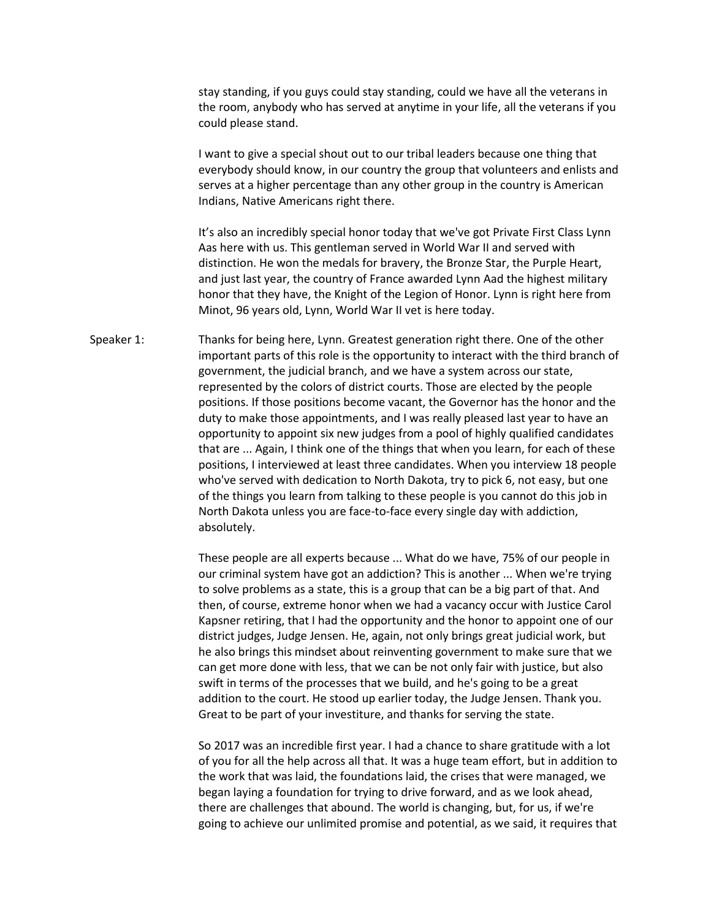stay standing, if you guys could stay standing, could we have all the veterans in the room, anybody who has served at anytime in your life, all the veterans if you could please stand.

I want to give a special shout out to our tribal leaders because one thing that everybody should know, in our country the group that volunteers and enlists and serves at a higher percentage than any other group in the country is American Indians, Native Americans right there.

It's also an incredibly special honor today that we've got Private First Class Lynn Aas here with us. This gentleman served in World War II and served with distinction. He won the medals for bravery, the Bronze Star, the Purple Heart, and just last year, the country of France awarded Lynn Aad the highest military honor that they have, the Knight of the Legion of Honor. Lynn is right here from Minot, 96 years old, Lynn, World War II vet is here today.

Speaker 1: Thanks for being here, Lynn. Greatest generation right there. One of the other important parts of this role is the opportunity to interact with the third branch of government, the judicial branch, and we have a system across our state, represented by the colors of district courts. Those are elected by the people positions. If those positions become vacant, the Governor has the honor and the duty to make those appointments, and I was really pleased last year to have an opportunity to appoint six new judges from a pool of highly qualified candidates that are ... Again, I think one of the things that when you learn, for each of these positions, I interviewed at least three candidates. When you interview 18 people who've served with dedication to North Dakota, try to pick 6, not easy, but one of the things you learn from talking to these people is you cannot do this job in North Dakota unless you are face-to-face every single day with addiction, absolutely.

> These people are all experts because ... What do we have, 75% of our people in our criminal system have got an addiction? This is another ... When we're trying to solve problems as a state, this is a group that can be a big part of that. And then, of course, extreme honor when we had a vacancy occur with Justice Carol Kapsner retiring, that I had the opportunity and the honor to appoint one of our district judges, Judge Jensen. He, again, not only brings great judicial work, but he also brings this mindset about reinventing government to make sure that we can get more done with less, that we can be not only fair with justice, but also swift in terms of the processes that we build, and he's going to be a great addition to the court. He stood up earlier today, the Judge Jensen. Thank you. Great to be part of your investiture, and thanks for serving the state.

So 2017 was an incredible first year. I had a chance to share gratitude with a lot of you for all the help across all that. It was a huge team effort, but in addition to the work that was laid, the foundations laid, the crises that were managed, we began laying a foundation for trying to drive forward, and as we look ahead, there are challenges that abound. The world is changing, but, for us, if we're going to achieve our unlimited promise and potential, as we said, it requires that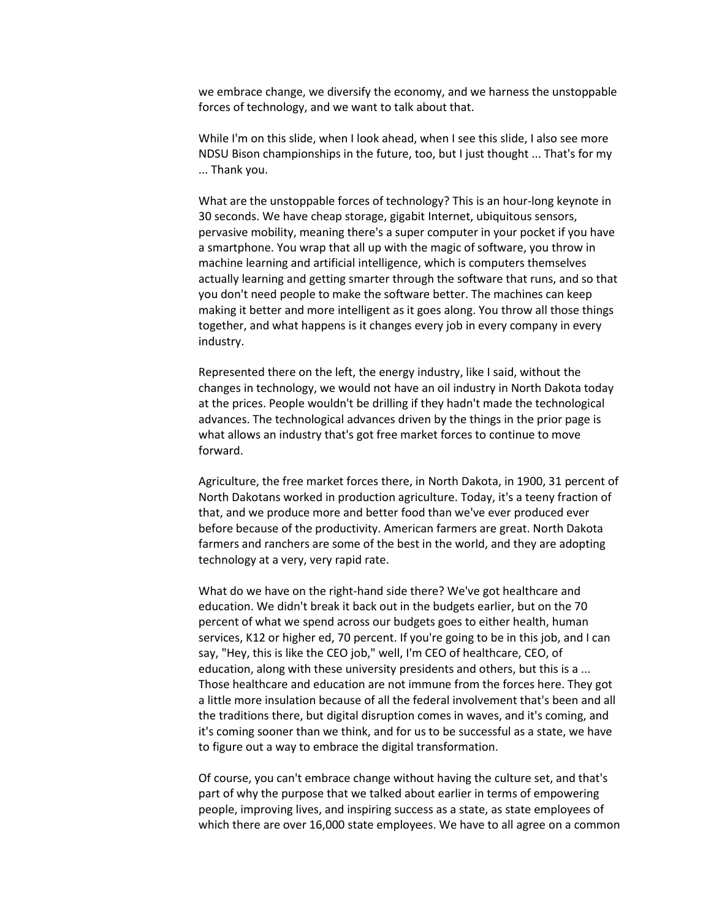we embrace change, we diversify the economy, and we harness the unstoppable forces of technology, and we want to talk about that.

While I'm on this slide, when I look ahead, when I see this slide, I also see more NDSU Bison championships in the future, too, but I just thought ... That's for my ... Thank you.

What are the unstoppable forces of technology? This is an hour-long keynote in 30 seconds. We have cheap storage, gigabit Internet, ubiquitous sensors, pervasive mobility, meaning there's a super computer in your pocket if you have a smartphone. You wrap that all up with the magic of software, you throw in machine learning and artificial intelligence, which is computers themselves actually learning and getting smarter through the software that runs, and so that you don't need people to make the software better. The machines can keep making it better and more intelligent as it goes along. You throw all those things together, and what happens is it changes every job in every company in every industry.

Represented there on the left, the energy industry, like I said, without the changes in technology, we would not have an oil industry in North Dakota today at the prices. People wouldn't be drilling if they hadn't made the technological advances. The technological advances driven by the things in the prior page is what allows an industry that's got free market forces to continue to move forward.

Agriculture, the free market forces there, in North Dakota, in 1900, 31 percent of North Dakotans worked in production agriculture. Today, it's a teeny fraction of that, and we produce more and better food than we've ever produced ever before because of the productivity. American farmers are great. North Dakota farmers and ranchers are some of the best in the world, and they are adopting technology at a very, very rapid rate.

What do we have on the right-hand side there? We've got healthcare and education. We didn't break it back out in the budgets earlier, but on the 70 percent of what we spend across our budgets goes to either health, human services, K12 or higher ed, 70 percent. If you're going to be in this job, and I can say, "Hey, this is like the CEO job," well, I'm CEO of healthcare, CEO, of education, along with these university presidents and others, but this is a ... Those healthcare and education are not immune from the forces here. They got a little more insulation because of all the federal involvement that's been and all the traditions there, but digital disruption comes in waves, and it's coming, and it's coming sooner than we think, and for us to be successful as a state, we have to figure out a way to embrace the digital transformation.

Of course, you can't embrace change without having the culture set, and that's part of why the purpose that we talked about earlier in terms of empowering people, improving lives, and inspiring success as a state, as state employees of which there are over 16,000 state employees. We have to all agree on a common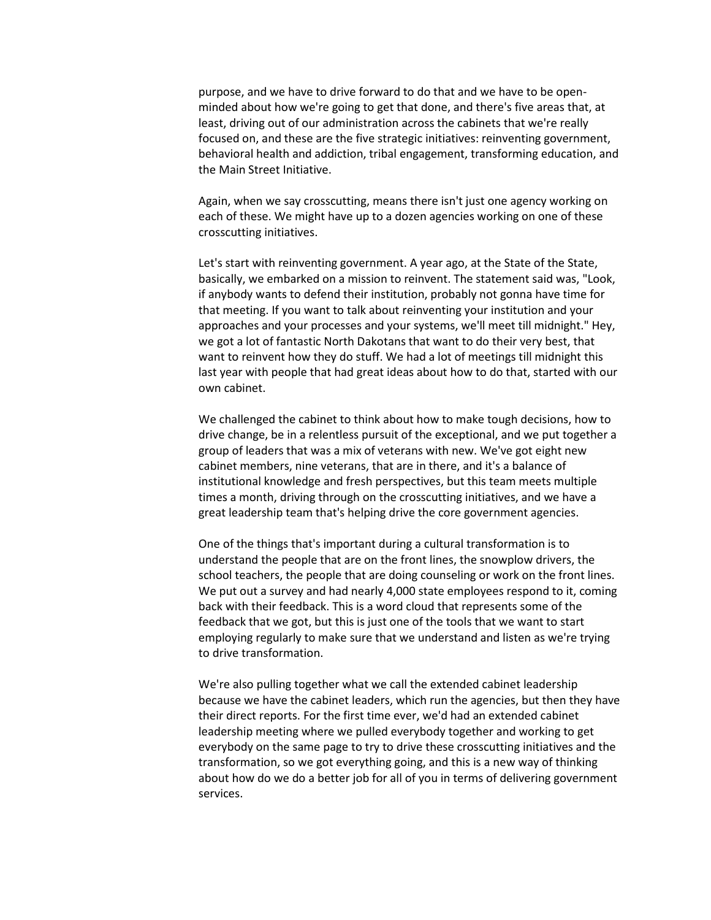purpose, and we have to drive forward to do that and we have to be openminded about how we're going to get that done, and there's five areas that, at least, driving out of our administration across the cabinets that we're really focused on, and these are the five strategic initiatives: reinventing government, behavioral health and addiction, tribal engagement, transforming education, and the Main Street Initiative.

Again, when we say crosscutting, means there isn't just one agency working on each of these. We might have up to a dozen agencies working on one of these crosscutting initiatives.

Let's start with reinventing government. A year ago, at the State of the State, basically, we embarked on a mission to reinvent. The statement said was, "Look, if anybody wants to defend their institution, probably not gonna have time for that meeting. If you want to talk about reinventing your institution and your approaches and your processes and your systems, we'll meet till midnight." Hey, we got a lot of fantastic North Dakotans that want to do their very best, that want to reinvent how they do stuff. We had a lot of meetings till midnight this last year with people that had great ideas about how to do that, started with our own cabinet.

We challenged the cabinet to think about how to make tough decisions, how to drive change, be in a relentless pursuit of the exceptional, and we put together a group of leaders that was a mix of veterans with new. We've got eight new cabinet members, nine veterans, that are in there, and it's a balance of institutional knowledge and fresh perspectives, but this team meets multiple times a month, driving through on the crosscutting initiatives, and we have a great leadership team that's helping drive the core government agencies.

One of the things that's important during a cultural transformation is to understand the people that are on the front lines, the snowplow drivers, the school teachers, the people that are doing counseling or work on the front lines. We put out a survey and had nearly 4,000 state employees respond to it, coming back with their feedback. This is a word cloud that represents some of the feedback that we got, but this is just one of the tools that we want to start employing regularly to make sure that we understand and listen as we're trying to drive transformation.

We're also pulling together what we call the extended cabinet leadership because we have the cabinet leaders, which run the agencies, but then they have their direct reports. For the first time ever, we'd had an extended cabinet leadership meeting where we pulled everybody together and working to get everybody on the same page to try to drive these crosscutting initiatives and the transformation, so we got everything going, and this is a new way of thinking about how do we do a better job for all of you in terms of delivering government services.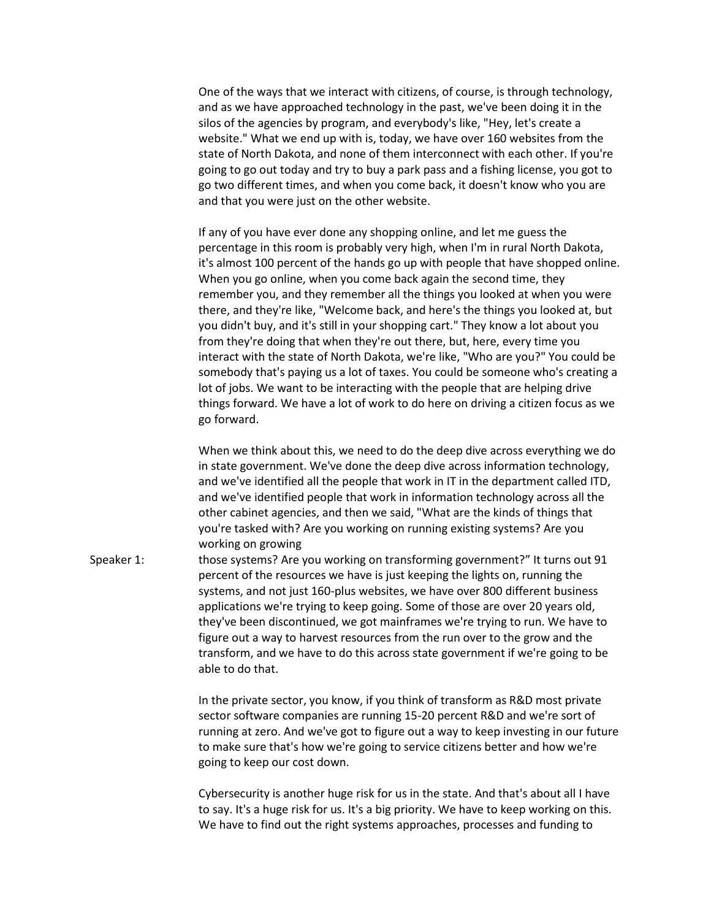One of the ways that we interact with citizens, of course, is through technology, and as we have approached technology in the past, we've been doing it in the silos of the agencies by program, and everybody's like, "Hey, let's create a website." What we end up with is, today, we have over 160 websites from the state of North Dakota, and none of them interconnect with each other. If you're going to go out today and try to buy a park pass and a fishing license, you got to go two different times, and when you come back, it doesn't know who you are and that you were just on the other website.

If any of you have ever done any shopping online, and let me guess the percentage in this room is probably very high, when I'm in rural North Dakota, it's almost 100 percent of the hands go up with people that have shopped online. When you go online, when you come back again the second time, they remember you, and they remember all the things you looked at when you were there, and they're like, "Welcome back, and here's the things you looked at, but you didn't buy, and it's still in your shopping cart." They know a lot about you from they're doing that when they're out there, but, here, every time you interact with the state of North Dakota, we're like, "Who are you?" You could be somebody that's paying us a lot of taxes. You could be someone who's creating a lot of jobs. We want to be interacting with the people that are helping drive things forward. We have a lot of work to do here on driving a citizen focus as we go forward.

When we think about this, we need to do the deep dive across everything we do in state government. We've done the deep dive across information technology, and we've identified all the people that work in IT in the department called ITD, and we've identified people that work in information technology across all the other cabinet agencies, and then we said, "What are the kinds of things that you're tasked with? Are you working on running existing systems? Are you working on growing

Speaker 1: those systems? Are you working on transforming government?" It turns out 91 percent of the resources we have is just keeping the lights on, running the systems, and not just 160-plus websites, we have over 800 different business applications we're trying to keep going. Some of those are over 20 years old, they've been discontinued, we got mainframes we're trying to run. We have to figure out a way to harvest resources from the run over to the grow and the transform, and we have to do this across state government if we're going to be able to do that.

> In the private sector, you know, if you think of transform as R&D most private sector software companies are running 15-20 percent R&D and we're sort of running at zero. And we've got to figure out a way to keep investing in our future to make sure that's how we're going to service citizens better and how we're going to keep our cost down.

Cybersecurity is another huge risk for us in the state. And that's about all I have to say. It's a huge risk for us. It's a big priority. We have to keep working on this. We have to find out the right systems approaches, processes and funding to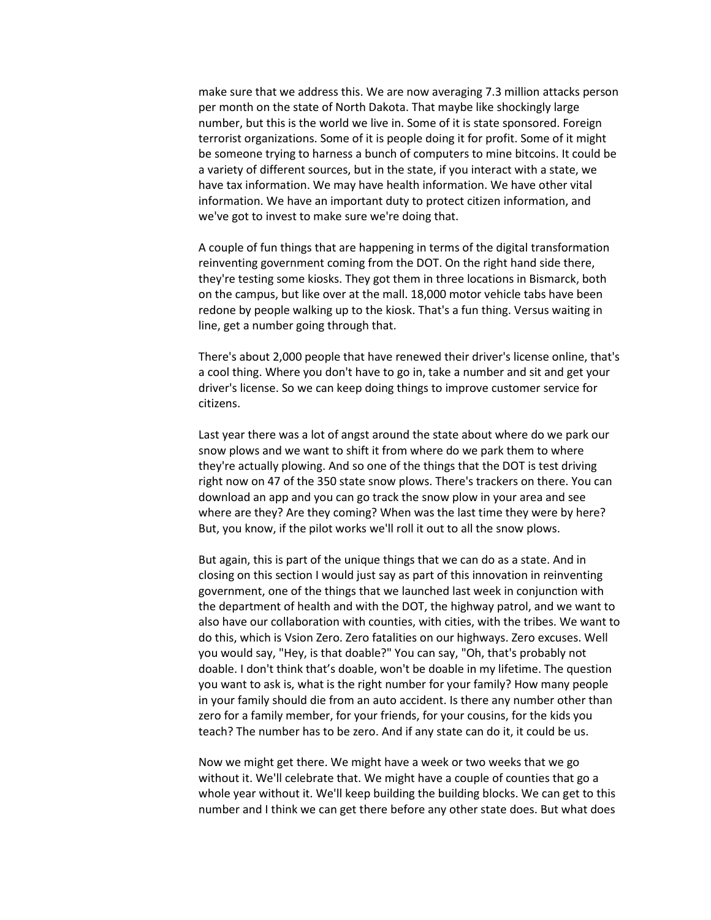make sure that we address this. We are now averaging 7.3 million attacks person per month on the state of North Dakota. That maybe like shockingly large number, but this is the world we live in. Some of it is state sponsored. Foreign terrorist organizations. Some of it is people doing it for profit. Some of it might be someone trying to harness a bunch of computers to mine bitcoins. It could be a variety of different sources, but in the state, if you interact with a state, we have tax information. We may have health information. We have other vital information. We have an important duty to protect citizen information, and we've got to invest to make sure we're doing that.

A couple of fun things that are happening in terms of the digital transformation reinventing government coming from the DOT. On the right hand side there, they're testing some kiosks. They got them in three locations in Bismarck, both on the campus, but like over at the mall. 18,000 motor vehicle tabs have been redone by people walking up to the kiosk. That's a fun thing. Versus waiting in line, get a number going through that.

There's about 2,000 people that have renewed their driver's license online, that's a cool thing. Where you don't have to go in, take a number and sit and get your driver's license. So we can keep doing things to improve customer service for citizens.

Last year there was a lot of angst around the state about where do we park our snow plows and we want to shift it from where do we park them to where they're actually plowing. And so one of the things that the DOT is test driving right now on 47 of the 350 state snow plows. There's trackers on there. You can download an app and you can go track the snow plow in your area and see where are they? Are they coming? When was the last time they were by here? But, you know, if the pilot works we'll roll it out to all the snow plows.

But again, this is part of the unique things that we can do as a state. And in closing on this section I would just say as part of this innovation in reinventing government, one of the things that we launched last week in conjunction with the department of health and with the DOT, the highway patrol, and we want to also have our collaboration with counties, with cities, with the tribes. We want to do this, which is Vsion Zero. Zero fatalities on our highways. Zero excuses. Well you would say, "Hey, is that doable?" You can say, "Oh, that's probably not doable. I don't think that's doable, won't be doable in my lifetime. The question you want to ask is, what is the right number for your family? How many people in your family should die from an auto accident. Is there any number other than zero for a family member, for your friends, for your cousins, for the kids you teach? The number has to be zero. And if any state can do it, it could be us.

Now we might get there. We might have a week or two weeks that we go without it. We'll celebrate that. We might have a couple of counties that go a whole year without it. We'll keep building the building blocks. We can get to this number and I think we can get there before any other state does. But what does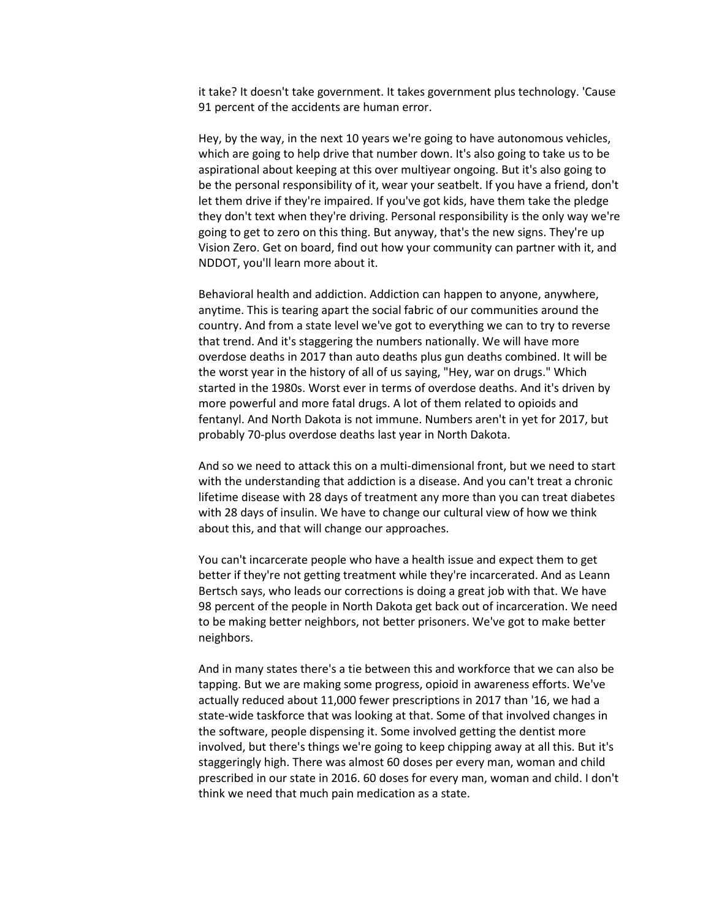it take? It doesn't take government. It takes government plus technology. 'Cause 91 percent of the accidents are human error.

Hey, by the way, in the next 10 years we're going to have autonomous vehicles, which are going to help drive that number down. It's also going to take us to be aspirational about keeping at this over multiyear ongoing. But it's also going to be the personal responsibility of it, wear your seatbelt. If you have a friend, don't let them drive if they're impaired. If you've got kids, have them take the pledge they don't text when they're driving. Personal responsibility is the only way we're going to get to zero on this thing. But anyway, that's the new signs. They're up Vision Zero. Get on board, find out how your community can partner with it, and NDDOT, you'll learn more about it.

Behavioral health and addiction. Addiction can happen to anyone, anywhere, anytime. This is tearing apart the social fabric of our communities around the country. And from a state level we've got to everything we can to try to reverse that trend. And it's staggering the numbers nationally. We will have more overdose deaths in 2017 than auto deaths plus gun deaths combined. It will be the worst year in the history of all of us saying, "Hey, war on drugs." Which started in the 1980s. Worst ever in terms of overdose deaths. And it's driven by more powerful and more fatal drugs. A lot of them related to opioids and fentanyl. And North Dakota is not immune. Numbers aren't in yet for 2017, but probably 70-plus overdose deaths last year in North Dakota.

And so we need to attack this on a multi-dimensional front, but we need to start with the understanding that addiction is a disease. And you can't treat a chronic lifetime disease with 28 days of treatment any more than you can treat diabetes with 28 days of insulin. We have to change our cultural view of how we think about this, and that will change our approaches.

You can't incarcerate people who have a health issue and expect them to get better if they're not getting treatment while they're incarcerated. And as Leann Bertsch says, who leads our corrections is doing a great job with that. We have 98 percent of the people in North Dakota get back out of incarceration. We need to be making better neighbors, not better prisoners. We've got to make better neighbors.

And in many states there's a tie between this and workforce that we can also be tapping. But we are making some progress, opioid in awareness efforts. We've actually reduced about 11,000 fewer prescriptions in 2017 than '16, we had a state-wide taskforce that was looking at that. Some of that involved changes in the software, people dispensing it. Some involved getting the dentist more involved, but there's things we're going to keep chipping away at all this. But it's staggeringly high. There was almost 60 doses per every man, woman and child prescribed in our state in 2016. 60 doses for every man, woman and child. I don't think we need that much pain medication as a state.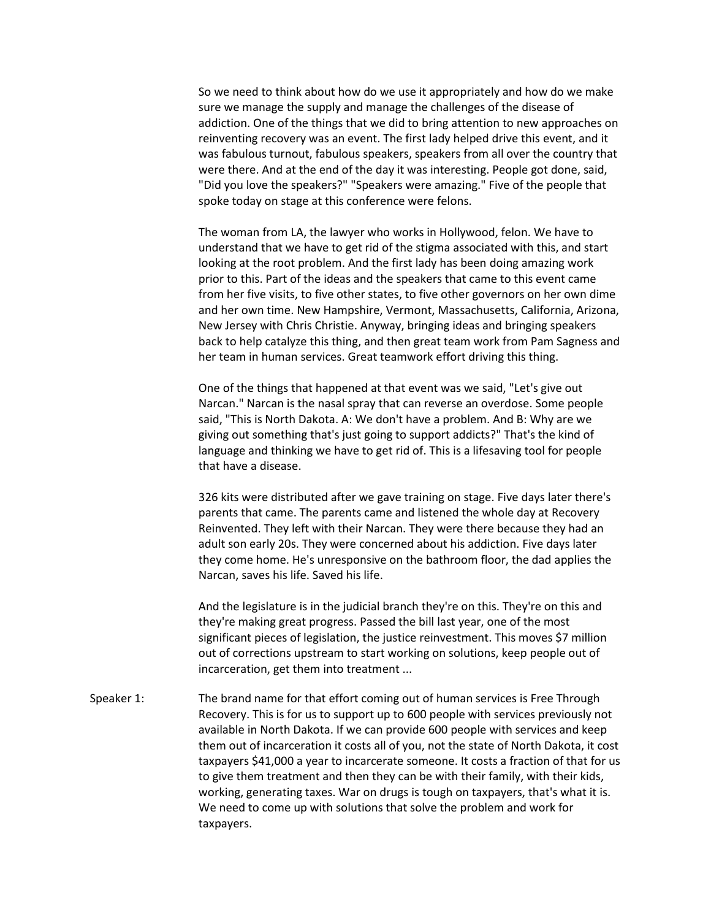So we need to think about how do we use it appropriately and how do we make sure we manage the supply and manage the challenges of the disease of addiction. One of the things that we did to bring attention to new approaches on reinventing recovery was an event. The first lady helped drive this event, and it was fabulous turnout, fabulous speakers, speakers from all over the country that were there. And at the end of the day it was interesting. People got done, said, "Did you love the speakers?" "Speakers were amazing." Five of the people that spoke today on stage at this conference were felons.

The woman from LA, the lawyer who works in Hollywood, felon. We have to understand that we have to get rid of the stigma associated with this, and start looking at the root problem. And the first lady has been doing amazing work prior to this. Part of the ideas and the speakers that came to this event came from her five visits, to five other states, to five other governors on her own dime and her own time. New Hampshire, Vermont, Massachusetts, California, Arizona, New Jersey with Chris Christie. Anyway, bringing ideas and bringing speakers back to help catalyze this thing, and then great team work from Pam Sagness and her team in human services. Great teamwork effort driving this thing.

One of the things that happened at that event was we said, "Let's give out Narcan." Narcan is the nasal spray that can reverse an overdose. Some people said, "This is North Dakota. A: We don't have a problem. And B: Why are we giving out something that's just going to support addicts?" That's the kind of language and thinking we have to get rid of. This is a lifesaving tool for people that have a disease.

326 kits were distributed after we gave training on stage. Five days later there's parents that came. The parents came and listened the whole day at Recovery Reinvented. They left with their Narcan. They were there because they had an adult son early 20s. They were concerned about his addiction. Five days later they come home. He's unresponsive on the bathroom floor, the dad applies the Narcan, saves his life. Saved his life.

And the legislature is in the judicial branch they're on this. They're on this and they're making great progress. Passed the bill last year, one of the most significant pieces of legislation, the justice reinvestment. This moves \$7 million out of corrections upstream to start working on solutions, keep people out of incarceration, get them into treatment ...

Speaker 1: The brand name for that effort coming out of human services is Free Through Recovery. This is for us to support up to 600 people with services previously not available in North Dakota. If we can provide 600 people with services and keep them out of incarceration it costs all of you, not the state of North Dakota, it cost taxpayers \$41,000 a year to incarcerate someone. It costs a fraction of that for us to give them treatment and then they can be with their family, with their kids, working, generating taxes. War on drugs is tough on taxpayers, that's what it is. We need to come up with solutions that solve the problem and work for taxpayers.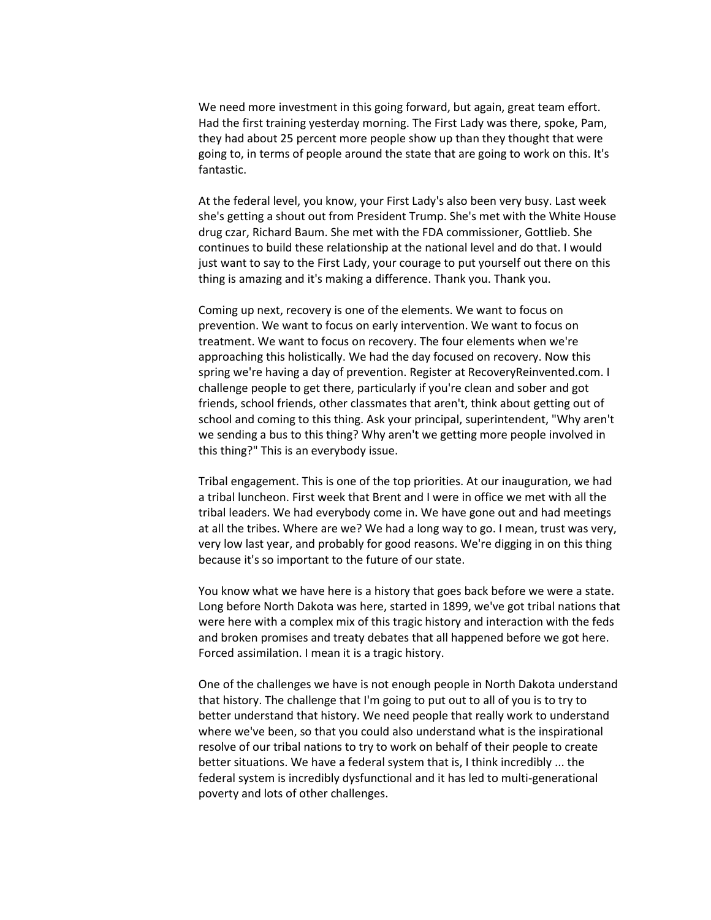We need more investment in this going forward, but again, great team effort. Had the first training yesterday morning. The First Lady was there, spoke, Pam, they had about 25 percent more people show up than they thought that were going to, in terms of people around the state that are going to work on this. It's fantastic.

At the federal level, you know, your First Lady's also been very busy. Last week she's getting a shout out from President Trump. She's met with the White House drug czar, Richard Baum. She met with the FDA commissioner, Gottlieb. She continues to build these relationship at the national level and do that. I would just want to say to the First Lady, your courage to put yourself out there on this thing is amazing and it's making a difference. Thank you. Thank you.

Coming up next, recovery is one of the elements. We want to focus on prevention. We want to focus on early intervention. We want to focus on treatment. We want to focus on recovery. The four elements when we're approaching this holistically. We had the day focused on recovery. Now this spring we're having a day of prevention. Register at RecoveryReinvented.com. I challenge people to get there, particularly if you're clean and sober and got friends, school friends, other classmates that aren't, think about getting out of school and coming to this thing. Ask your principal, superintendent, "Why aren't we sending a bus to this thing? Why aren't we getting more people involved in this thing?" This is an everybody issue.

Tribal engagement. This is one of the top priorities. At our inauguration, we had a tribal luncheon. First week that Brent and I were in office we met with all the tribal leaders. We had everybody come in. We have gone out and had meetings at all the tribes. Where are we? We had a long way to go. I mean, trust was very, very low last year, and probably for good reasons. We're digging in on this thing because it's so important to the future of our state.

You know what we have here is a history that goes back before we were a state. Long before North Dakota was here, started in 1899, we've got tribal nations that were here with a complex mix of this tragic history and interaction with the feds and broken promises and treaty debates that all happened before we got here. Forced assimilation. I mean it is a tragic history.

One of the challenges we have is not enough people in North Dakota understand that history. The challenge that I'm going to put out to all of you is to try to better understand that history. We need people that really work to understand where we've been, so that you could also understand what is the inspirational resolve of our tribal nations to try to work on behalf of their people to create better situations. We have a federal system that is, I think incredibly ... the federal system is incredibly dysfunctional and it has led to multi-generational poverty and lots of other challenges.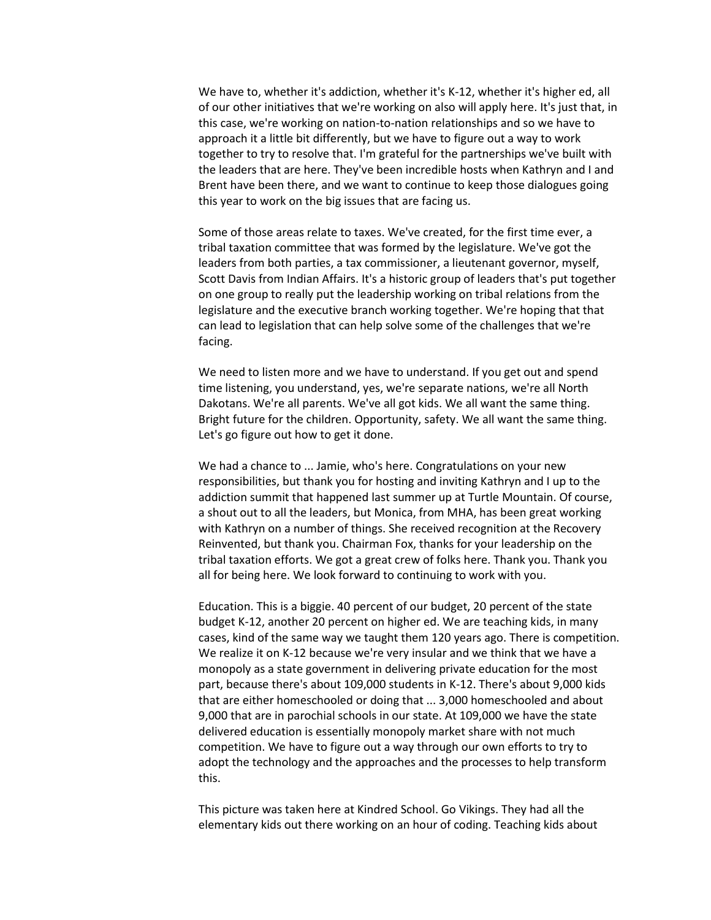We have to, whether it's addiction, whether it's K-12, whether it's higher ed, all of our other initiatives that we're working on also will apply here. It's just that, in this case, we're working on nation-to-nation relationships and so we have to approach it a little bit differently, but we have to figure out a way to work together to try to resolve that. I'm grateful for the partnerships we've built with the leaders that are here. They've been incredible hosts when Kathryn and I and Brent have been there, and we want to continue to keep those dialogues going this year to work on the big issues that are facing us.

Some of those areas relate to taxes. We've created, for the first time ever, a tribal taxation committee that was formed by the legislature. We've got the leaders from both parties, a tax commissioner, a lieutenant governor, myself, Scott Davis from Indian Affairs. It's a historic group of leaders that's put together on one group to really put the leadership working on tribal relations from the legislature and the executive branch working together. We're hoping that that can lead to legislation that can help solve some of the challenges that we're facing.

We need to listen more and we have to understand. If you get out and spend time listening, you understand, yes, we're separate nations, we're all North Dakotans. We're all parents. We've all got kids. We all want the same thing. Bright future for the children. Opportunity, safety. We all want the same thing. Let's go figure out how to get it done.

We had a chance to ... Jamie, who's here. Congratulations on your new responsibilities, but thank you for hosting and inviting Kathryn and I up to the addiction summit that happened last summer up at Turtle Mountain. Of course, a shout out to all the leaders, but Monica, from MHA, has been great working with Kathryn on a number of things. She received recognition at the Recovery Reinvented, but thank you. Chairman Fox, thanks for your leadership on the tribal taxation efforts. We got a great crew of folks here. Thank you. Thank you all for being here. We look forward to continuing to work with you.

Education. This is a biggie. 40 percent of our budget, 20 percent of the state budget K-12, another 20 percent on higher ed. We are teaching kids, in many cases, kind of the same way we taught them 120 years ago. There is competition. We realize it on K-12 because we're very insular and we think that we have a monopoly as a state government in delivering private education for the most part, because there's about 109,000 students in K-12. There's about 9,000 kids that are either homeschooled or doing that ... 3,000 homeschooled and about 9,000 that are in parochial schools in our state. At 109,000 we have the state delivered education is essentially monopoly market share with not much competition. We have to figure out a way through our own efforts to try to adopt the technology and the approaches and the processes to help transform this.

This picture was taken here at Kindred School. Go Vikings. They had all the elementary kids out there working on an hour of coding. Teaching kids about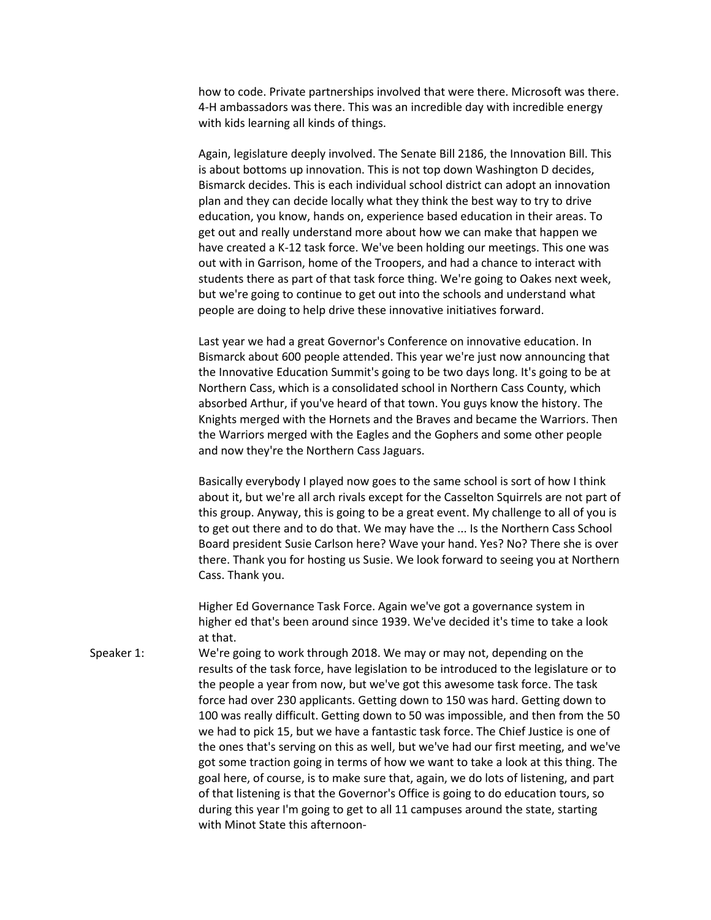how to code. Private partnerships involved that were there. Microsoft was there. 4-H ambassadors was there. This was an incredible day with incredible energy with kids learning all kinds of things.

Again, legislature deeply involved. The Senate Bill 2186, the Innovation Bill. This is about bottoms up innovation. This is not top down Washington D decides, Bismarck decides. This is each individual school district can adopt an innovation plan and they can decide locally what they think the best way to try to drive education, you know, hands on, experience based education in their areas. To get out and really understand more about how we can make that happen we have created a K-12 task force. We've been holding our meetings. This one was out with in Garrison, home of the Troopers, and had a chance to interact with students there as part of that task force thing. We're going to Oakes next week, but we're going to continue to get out into the schools and understand what people are doing to help drive these innovative initiatives forward.

Last year we had a great Governor's Conference on innovative education. In Bismarck about 600 people attended. This year we're just now announcing that the Innovative Education Summit's going to be two days long. It's going to be at Northern Cass, which is a consolidated school in Northern Cass County, which absorbed Arthur, if you've heard of that town. You guys know the history. The Knights merged with the Hornets and the Braves and became the Warriors. Then the Warriors merged with the Eagles and the Gophers and some other people and now they're the Northern Cass Jaguars.

Basically everybody I played now goes to the same school is sort of how I think about it, but we're all arch rivals except for the Casselton Squirrels are not part of this group. Anyway, this is going to be a great event. My challenge to all of you is to get out there and to do that. We may have the ... Is the Northern Cass School Board president Susie Carlson here? Wave your hand. Yes? No? There she is over there. Thank you for hosting us Susie. We look forward to seeing you at Northern Cass. Thank you.

Higher Ed Governance Task Force. Again we've got a governance system in higher ed that's been around since 1939. We've decided it's time to take a look at that.

Speaker 1: We're going to work through 2018. We may or may not, depending on the results of the task force, have legislation to be introduced to the legislature or to the people a year from now, but we've got this awesome task force. The task force had over 230 applicants. Getting down to 150 was hard. Getting down to 100 was really difficult. Getting down to 50 was impossible, and then from the 50 we had to pick 15, but we have a fantastic task force. The Chief Justice is one of the ones that's serving on this as well, but we've had our first meeting, and we've got some traction going in terms of how we want to take a look at this thing. The goal here, of course, is to make sure that, again, we do lots of listening, and part of that listening is that the Governor's Office is going to do education tours, so during this year I'm going to get to all 11 campuses around the state, starting with Minot State this afternoon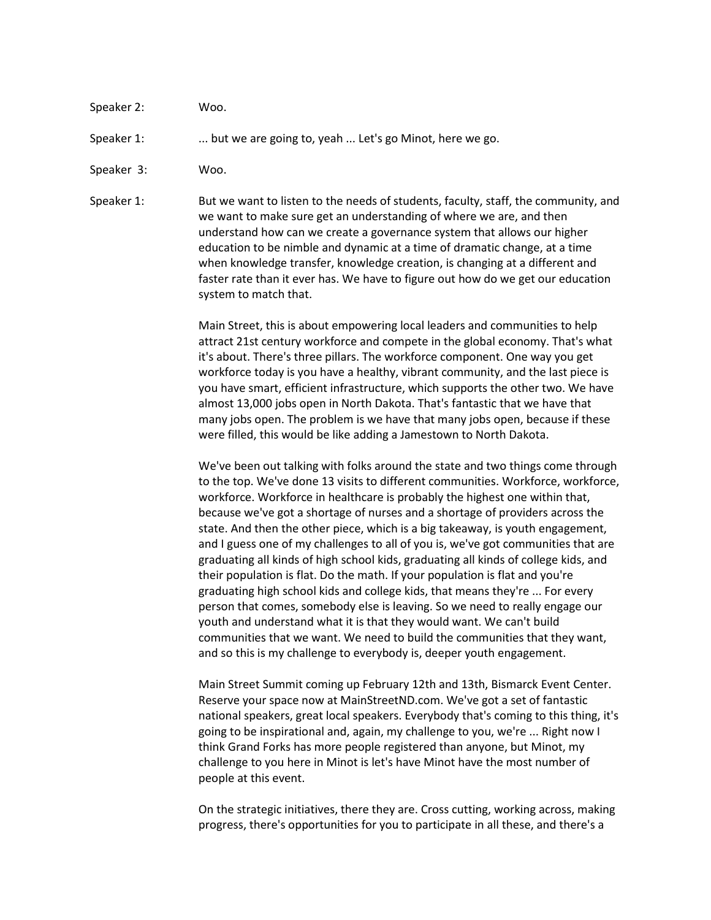Speaker 2: Woo.

Speaker 1: .... but we are going to, yeah ... Let's go Minot, here we go.

Speaker 3: Woo.

Speaker 1: But we want to listen to the needs of students, faculty, staff, the community, and we want to make sure get an understanding of where we are, and then understand how can we create a governance system that allows our higher education to be nimble and dynamic at a time of dramatic change, at a time when knowledge transfer, knowledge creation, is changing at a different and faster rate than it ever has. We have to figure out how do we get our education system to match that.

> Main Street, this is about empowering local leaders and communities to help attract 21st century workforce and compete in the global economy. That's what it's about. There's three pillars. The workforce component. One way you get workforce today is you have a healthy, vibrant community, and the last piece is you have smart, efficient infrastructure, which supports the other two. We have almost 13,000 jobs open in North Dakota. That's fantastic that we have that many jobs open. The problem is we have that many jobs open, because if these were filled, this would be like adding a Jamestown to North Dakota.

We've been out talking with folks around the state and two things come through to the top. We've done 13 visits to different communities. Workforce, workforce, workforce. Workforce in healthcare is probably the highest one within that, because we've got a shortage of nurses and a shortage of providers across the state. And then the other piece, which is a big takeaway, is youth engagement, and I guess one of my challenges to all of you is, we've got communities that are graduating all kinds of high school kids, graduating all kinds of college kids, and their population is flat. Do the math. If your population is flat and you're graduating high school kids and college kids, that means they're ... For every person that comes, somebody else is leaving. So we need to really engage our youth and understand what it is that they would want. We can't build communities that we want. We need to build the communities that they want, and so this is my challenge to everybody is, deeper youth engagement.

Main Street Summit coming up February 12th and 13th, Bismarck Event Center. Reserve your space now at MainStreetND.com. We've got a set of fantastic national speakers, great local speakers. Everybody that's coming to this thing, it's going to be inspirational and, again, my challenge to you, we're ... Right now I think Grand Forks has more people registered than anyone, but Minot, my challenge to you here in Minot is let's have Minot have the most number of people at this event.

On the strategic initiatives, there they are. Cross cutting, working across, making progress, there's opportunities for you to participate in all these, and there's a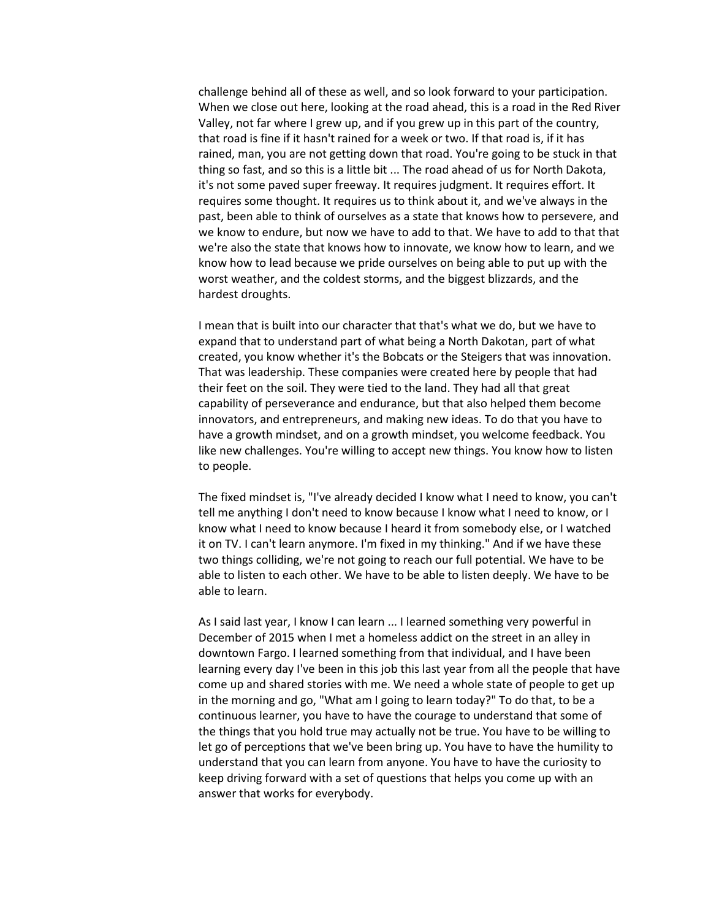challenge behind all of these as well, and so look forward to your participation. When we close out here, looking at the road ahead, this is a road in the Red River Valley, not far where I grew up, and if you grew up in this part of the country, that road is fine if it hasn't rained for a week or two. If that road is, if it has rained, man, you are not getting down that road. You're going to be stuck in that thing so fast, and so this is a little bit ... The road ahead of us for North Dakota, it's not some paved super freeway. It requires judgment. It requires effort. It requires some thought. It requires us to think about it, and we've always in the past, been able to think of ourselves as a state that knows how to persevere, and we know to endure, but now we have to add to that. We have to add to that that we're also the state that knows how to innovate, we know how to learn, and we know how to lead because we pride ourselves on being able to put up with the worst weather, and the coldest storms, and the biggest blizzards, and the hardest droughts.

I mean that is built into our character that that's what we do, but we have to expand that to understand part of what being a North Dakotan, part of what created, you know whether it's the Bobcats or the Steigers that was innovation. That was leadership. These companies were created here by people that had their feet on the soil. They were tied to the land. They had all that great capability of perseverance and endurance, but that also helped them become innovators, and entrepreneurs, and making new ideas. To do that you have to have a growth mindset, and on a growth mindset, you welcome feedback. You like new challenges. You're willing to accept new things. You know how to listen to people.

The fixed mindset is, "I've already decided I know what I need to know, you can't tell me anything I don't need to know because I know what I need to know, or I know what I need to know because I heard it from somebody else, or I watched it on TV. I can't learn anymore. I'm fixed in my thinking." And if we have these two things colliding, we're not going to reach our full potential. We have to be able to listen to each other. We have to be able to listen deeply. We have to be able to learn.

As I said last year, I know I can learn ... I learned something very powerful in December of 2015 when I met a homeless addict on the street in an alley in downtown Fargo. I learned something from that individual, and I have been learning every day I've been in this job this last year from all the people that have come up and shared stories with me. We need a whole state of people to get up in the morning and go, "What am I going to learn today?" To do that, to be a continuous learner, you have to have the courage to understand that some of the things that you hold true may actually not be true. You have to be willing to let go of perceptions that we've been bring up. You have to have the humility to understand that you can learn from anyone. You have to have the curiosity to keep driving forward with a set of questions that helps you come up with an answer that works for everybody.